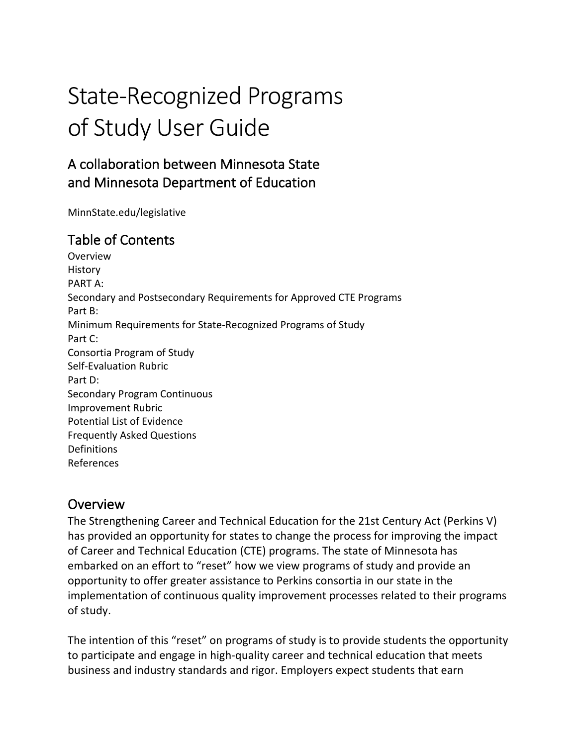# State-Recognized Programs of Study User Guide

# A collaboration between Minnesota State and Minnesota Department of Education

[MinnState.edu/legislative](https://MinnState.edu/legislative) 

# Table of Contents

History<br>PART A: PART A: Secondary and Postsecondary Requirements for Approved CTE Programs Part B: Part B:<br>Minimum Requirements for State-Recognized Programs of Study Part C: Part C:<br>Consortia Program of Study Self-Evaluation Rubric Part D: Part D:<br>Secondary Program Continuous Potential List of Evidence Frequently Asked Questions Overview Improvement Rubric **Definitions** References

# Overview

 The Strengthening Career and Technical Education for the 21st Century Act (Perkins V) has provided an opportunity for states to change the process for improving the impact of Career and Technical Education (CTE) programs. The state of Minnesota has embarked on an effort to "reset" how we view programs of study and provide an opportunity to offer greater assistance to Perkins consortia in our state in the implementation of continuous quality improvement processes related to their programs of study.

 The intention of this "reset" on programs of study is to provide students the opportunity to participate and engage in high-quality career and technical education that meets business and industry standards and rigor. Employers expect students that earn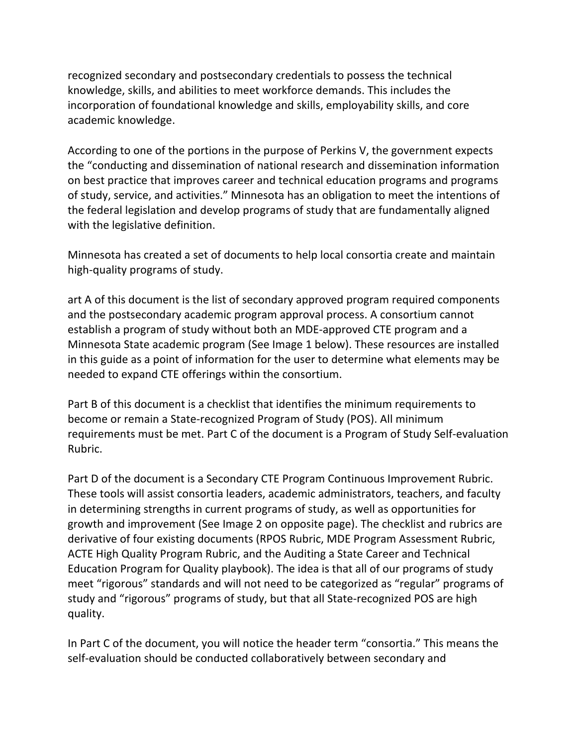academic knowledge. recognized secondary and postsecondary credentials to possess the technical knowledge, skills, and abilities to meet workforce demands. This includes the incorporation of foundational knowledge and skills, employability skills, and core

 According to one of the portions in the purpose of Perkins V, the government expects on best practice that improves career and technical education programs and programs of study, service, and activities." Minnesota has an obligation to meet the intentions of with the legislative definition. the "conducting and dissemination of national research and dissemination information the federal legislation and develop programs of study that are fundamentally aligned

 Minnesota has created a set of documents to help local consortia create and maintain high-quality programs of study.

 art A of this document is the list of secondary approved program required components and the postsecondary academic program approval process. A consortium cannot Minnesota State academic program (See Image 1 below). These resources are installed needed to expand CTE offerings within the consortium. establish a program of study without both an MDE-approved CTE program and a in this guide as a point of information for the user to determine what elements may be

 Part B of this document is a checklist that identifies the minimum requirements to become or remain a State-recognized Program of Study (POS). All minimum requirements must be met. Part C of the document is a Program of Study Self-evaluation Rubric.

 These tools will assist consortia leaders, academic administrators, teachers, and faculty growth and improvement (See Image 2 on opposite page). The checklist and rubrics are derivative of four existing documents (RPOS Rubric, MDE Program Assessment Rubric, ACTE High Quality Program Rubric, and the Auditing a State Career and Technical Education Program for Quality playbook). The idea is that all of our programs of study meet "rigorous" standards and will not need to be categorized as "regular" programs of study and "rigorous" programs of study, but that all State-recognized POS are high Part D of the document is a Secondary CTE Program Continuous Improvement Rubric. in determining strengths in current programs of study, as well as opportunities for quality.

In Part C of the document, you will notice the header term "consortia." This means the self-evaluation should be conducted collaboratively between secondary and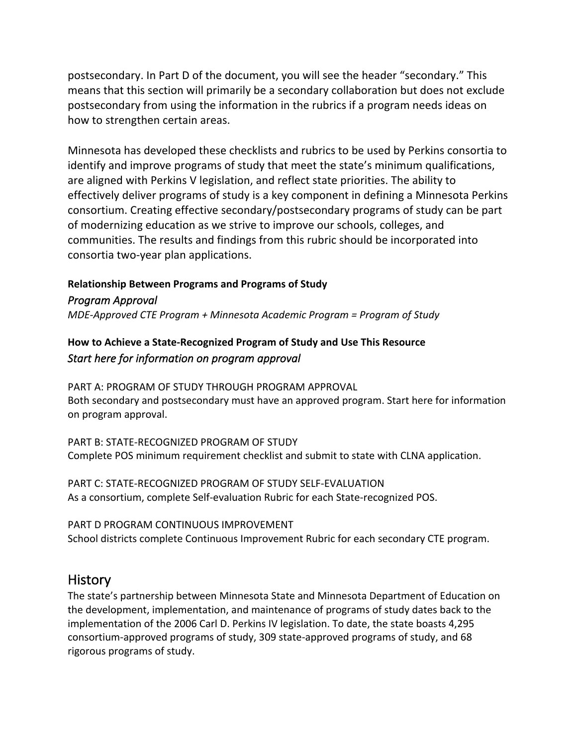postsecondary. In Part D of the document, you will see the header "secondary." This means that this section will primarily be a secondary collaboration but does not exclude postsecondary from using the information in the rubrics if a program needs ideas on how to strengthen certain areas.

 Minnesota has developed these checklists and rubrics to be used by Perkins consortia to are aligned with Perkins V legislation, and reflect state priorities. The ability to effectively deliver programs of study is a key component in defining a Minnesota Perkins of modernizing education as we strive to improve our schools, colleges, and communities. The results and findings from this rubric should be incorporated into identify and improve programs of study that meet the state's minimum qualifications, consortium. Creating effective secondary/postsecondary programs of study can be part consortia two-year plan applications.

# **Relationship Between Programs and Programs of Study**

*Program Approval* 

 *MDE-Approved CTE Program + Minnesota Academic Program = Program of Study* 

# **How to Achieve a State-Recognized Program of Study and Use This Resource**   *Start here for information on program approval*

 PART A: PROGRAM OF STUDY THROUGH PROGRAM APPROVAL Both secondary and postsecondary must have an approved program. Start here for information on program approval.

 PART B: STATE-RECOGNIZED PROGRAM OF STUDY Complete POS minimum requirement checklist and submit to state with CLNA application.

 PART C: STATE-RECOGNIZED PROGRAM OF STUDY SELF-EVALUATION As a consortium, complete Self-evaluation Rubric for each State-recognized POS.

 PART D PROGRAM CONTINUOUS IMPROVEMENT School districts complete Continuous Improvement Rubric for each secondary CTE program.

# **History**

 The state's partnership between Minnesota State and Minnesota Department of Education on the development, implementation, and maintenance of programs of study dates back to the implementation of the 2006 Carl D. Perkins IV legislation. To date, the state boasts 4,295 consortium-approved programs of study, 309 state-approved programs of study, and 68 rigorous programs of study.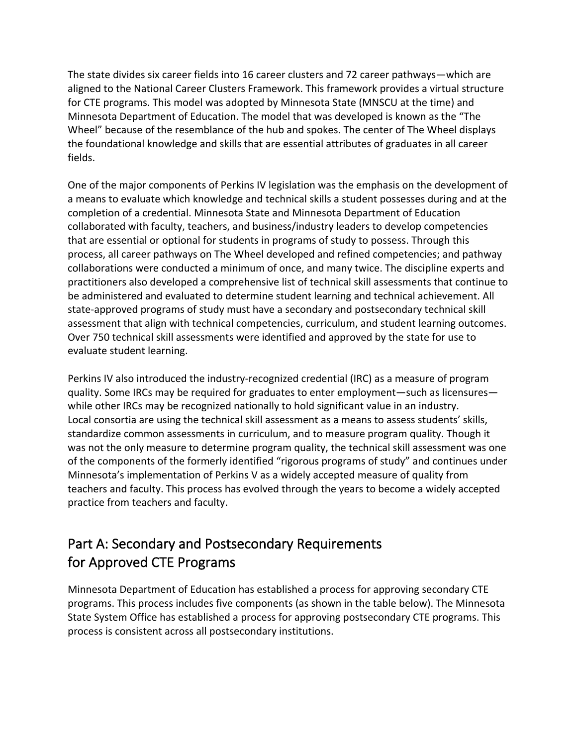The state divides six career fields into 16 career clusters and 72 career pathways—which are aligned to the National Career Clusters Framework. This framework provides a virtual structure for CTE programs. This model was adopted by Minnesota State (MNSCU at the time) and Minnesota Department of Education. The model that was developed is known as the "The Wheel" because of the resemblance of the hub and spokes. The center of The Wheel displays the foundational knowledge and skills that are essential attributes of graduates in all career fields.

 One of the major components of Perkins IV legislation was the emphasis on the development of a means to evaluate which knowledge and technical skills a student possesses during and at the completion of a credential. Minnesota State and Minnesota Department of Education collaborated with faculty, teachers, and business/industry leaders to develop competencies that are essential or optional for students in programs of study to possess. Through this process, all career pathways on The Wheel developed and refined competencies; and pathway collaborations were conducted a minimum of once, and many twice. The discipline experts and practitioners also developed a comprehensive list of technical skill assessments that continue to be administered and evaluated to determine student learning and technical achievement. All state-approved programs of study must have a secondary and postsecondary technical skill assessment that align with technical competencies, curriculum, and student learning outcomes. Over 750 technical skill assessments were identified and approved by the state for use to evaluate student learning.

 Perkins IV also introduced the industry-recognized credential (IRC) as a measure of program quality. Some IRCs may be required for graduates to enter employment—such as licensures— while other IRCs may be recognized nationally to hold significant value in an industry. Local consortia are using the technical skill assessment as a means to assess students' skills, standardize common assessments in curriculum, and to measure program quality. Though it was not the only measure to determine program quality, the technical skill assessment was one of the components of the formerly identified "rigorous programs of study" and continues under Minnesota's implementation of Perkins V as a widely accepted measure of quality from teachers and faculty. This process has evolved through the years to become a widely accepted practice from teachers and faculty.

# Part A: Secondary and Postsecondary Requirements for Approved CTE Programs

 Minnesota Department of Education has established a process for approving secondary CTE programs. This process includes five components (as shown in the table below). The Minnesota State System Office has established a process for approving postsecondary CTE programs. This process is consistent across all postsecondary institutions.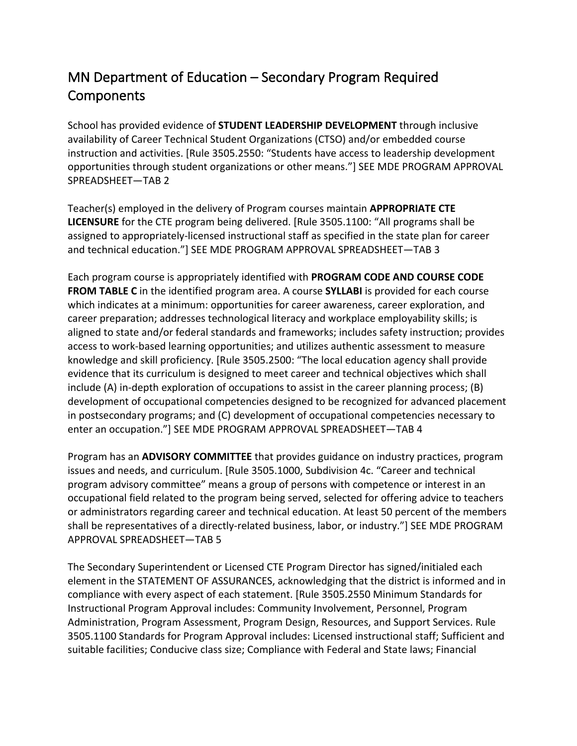# MN Department of Education – Secondary Program Required **Components**

 School has provided evidence of **STUDENT LEADERSHIP DEVELOPMENT** through inclusive availability of Career Technical Student Organizations (CTSO) and/or embedded course instruction and activities. [Rule 3505.2550: "Students have access to leadership development opportunities through student organizations or other means."] SEE MDE PROGRAM APPROVAL SPREADSHEET—TAB 2

 Teacher(s) employed in the delivery of Program courses maintain **APPROPRIATE CTE LICENSURE** for the CTE program being delivered. [Rule 3505.1100: "All programs shall be assigned to appropriately-licensed instructional staff as specified in the state plan for career and technical education."] SEE MDE PROGRAM APPROVAL SPREADSHEET—TAB 3

 Each program course is appropriately identified with **PROGRAM CODE AND COURSE CODE FROM TABLE C** in the identified program area. A course **SYLLABI** is provided for each course which indicates at a minimum: opportunities for career awareness, career exploration, and career preparation; addresses technological literacy and workplace employability skills; is aligned to state and/or federal standards and frameworks; includes safety instruction; provides access to work-based learning opportunities; and utilizes authentic assessment to measure knowledge and skill proficiency. [Rule 3505.2500: "The local education agency shall provide evidence that its curriculum is designed to meet career and technical objectives which shall include (A) in-depth exploration of occupations to assist in the career planning process; (B) development of occupational competencies designed to be recognized for advanced placement in postsecondary programs; and (C) development of occupational competencies necessary to enter an occupation."] SEE MDE PROGRAM APPROVAL SPREADSHEET—TAB 4

 Program has an **ADVISORY COMMITTEE** that provides guidance on industry practices, program issues and needs, and curriculum. [Rule 3505.1000, Subdivision 4c. "Career and technical program advisory committee" means a group of persons with competence or interest in an occupational field related to the program being served, selected for offering advice to teachers or administrators regarding career and technical education. At least 50 percent of the members shall be representatives of a directly-related business, labor, or industry."] SEE MDE PROGRAM APPROVAL SPREADSHEET—TAB 5

 The Secondary Superintendent or Licensed CTE Program Director has signed/initialed each element in the STATEMENT OF ASSURANCES, acknowledging that the district is informed and in compliance with every aspect of each statement. [Rule 3505.2550 Minimum Standards for Instructional Program Approval includes: Community Involvement, Personnel, Program Administration, Program Assessment, Program Design, Resources, and Support Services. Rule 3505.1100 Standards for Program Approval includes: Licensed instructional staff; Sufficient and suitable facilities; Conducive class size; Compliance with Federal and State laws; Financial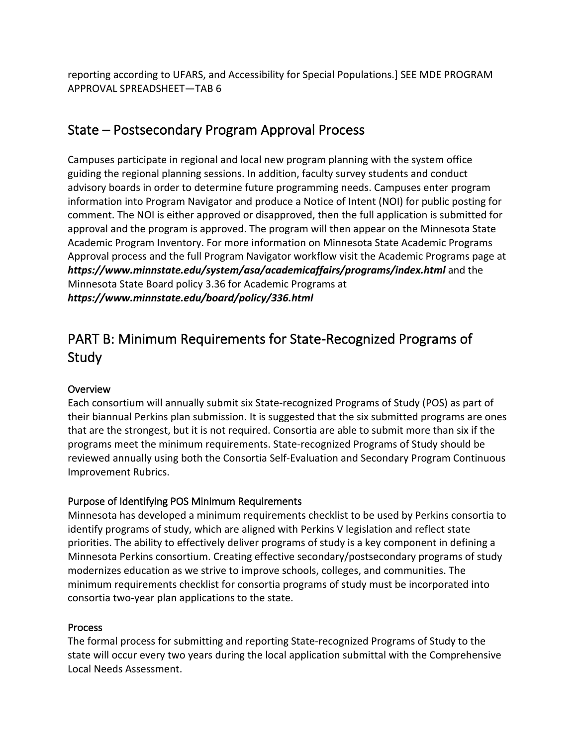reporting according to UFARS, and Accessibility for Special Populations.] SEE MDE PROGRAM APPROVAL SPREADSHEET—TAB 6

# State – Postsecondary Program Approval Process

 Campuses participate in regional and local new program planning with the system office guiding the regional planning sessions. In addition, faculty survey students and conduct advisory boards in order to determine future programming needs. Campuses enter program information into Program Navigator and produce a Notice of Intent (NOI) for public posting for comment. The NOI is either approved or disapproved, then the full application is submitted for approval and the program is approved. The program will then appear on the Minnesota State Academic Program Inventory. For more information on Minnesota State Academic Programs Approval process and the full Program Navigator workflow visit the Academic Programs page at *<https://www.minnstate.edu/system/asa/academicaffairs/programs/index.html>*and the Minnesota State Board policy 3.36 for Academic Programs at *<https://www.minnstate.edu/board/policy/336.html>*

# PART B: Minimum Requirements for State-Recognized Programs of Study

#### **Overview**

 Each consortium will annually submit six State-recognized Programs of Study (POS) as part of their biannual Perkins plan submission. It is suggested that the six submitted programs are ones that are the strongest, but it is not required. Consortia are able to submit more than six if the programs meet the minimum requirements. State-recognized Programs of Study should be reviewed annually using both the Consortia Self-Evaluation and Secondary Program Continuous Improvement Rubrics.

# Purpose of Identifying POS Minimum Requirements

 Minnesota has developed a minimum requirements checklist to be used by Perkins consortia to identify programs of study, which are aligned with Perkins V legislation and reflect state priorities. The ability to effectively deliver programs of study is a key component in defining a Minnesota Perkins consortium. Creating effective secondary/postsecondary programs of study modernizes education as we strive to improve schools, colleges, and communities. The minimum requirements checklist for consortia programs of study must be incorporated into consortia two-year plan applications to the state.

#### Process

 The formal process for submitting and reporting State-recognized Programs of Study to the state will occur every two years during the local application submittal with the Comprehensive Local Needs Assessment.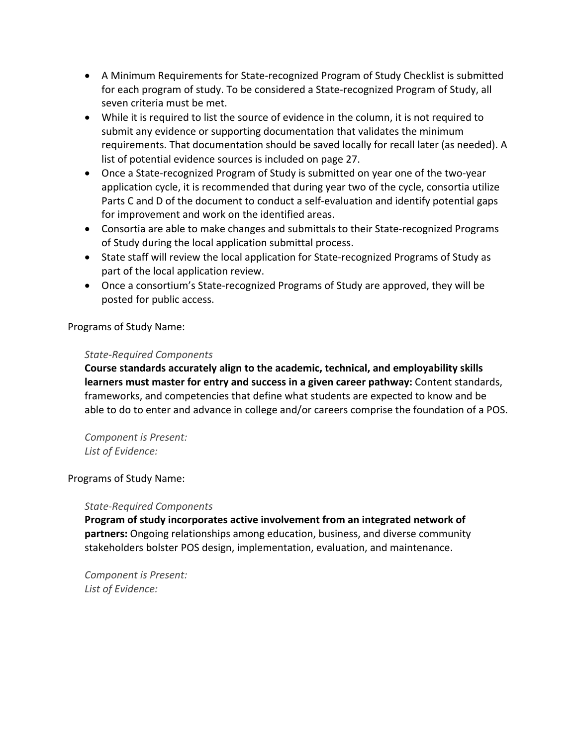- • A Minimum Requirements for State-recognized Program of Study Checklist is submitted for each program of study. To be considered a State-recognized Program of Study, all seven criteria must be met.
- • While it is required to list the source of evidence in the column, it is not required to submit any evidence or supporting documentation that validates the minimum requirements. That documentation should be saved locally for recall later (as needed). A list of potential evidence sources is included on page 27.
- • Once a State-recognized Program of Study is submitted on year one of the two-year application cycle, it is recommended that during year two of the cycle, consortia utilize Parts C and D of the document to conduct a self-evaluation and identify potential gaps for improvement and work on the identified areas.
- • Consortia are able to make changes and submittals to their State-recognized Programs of Study during the local application submittal process.
- • State staff will review the local application for State-recognized Programs of Study as part of the local application review.
- • Once a consortium's State-recognized Programs of Study are approved, they will be posted for public access.

Programs of Study Name:

#### *State-Required Components*

 **Course standards accurately align to the academic, technical, and employability skills learners must master for entry and success in a given career pathway:** Content standards, frameworks, and competencies that define what students are expected to know and be able to do to enter and advance in college and/or careers comprise the foundation of a POS.

 *Component is Present: List of Evidence:* 

#### Programs of Study Name:

#### *State-Required Components*

 **Program of study incorporates active involvement from an integrated network of partners:** Ongoing relationships among education, business, and diverse community stakeholders bolster POS design, implementation, evaluation, and maintenance.

 *Component is Present: List of Evidence:*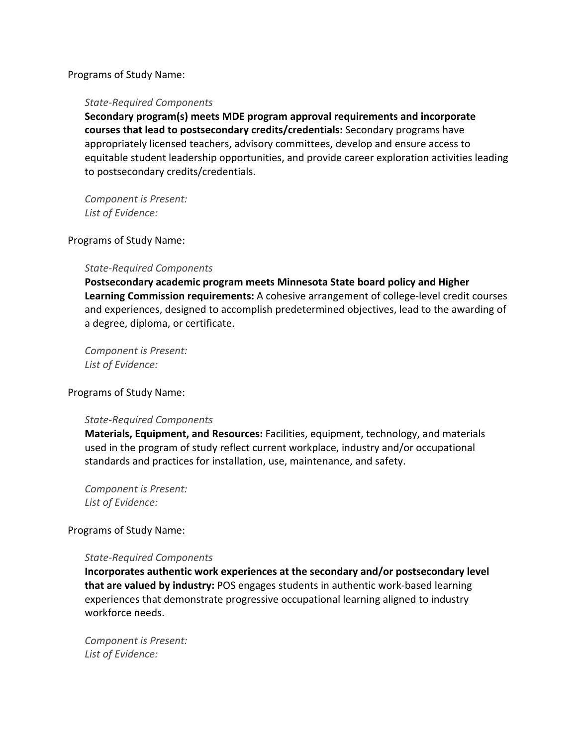#### Programs of Study Name:

#### *State-Required Components*

 **Secondary program(s) meets MDE program approval requirements and incorporate courses that lead to postsecondary credits/credentials:** Secondary programs have appropriately licensed teachers, advisory committees, develop and ensure access to equitable student leadership opportunities, and provide career exploration activities leading to postsecondary credits/credentials.

 *Component is Present: List of Evidence:* 

#### Programs of Study Name:

#### *State-Required Components*

 **Postsecondary academic program meets Minnesota State board policy and Higher Learning Commission requirements:** A cohesive arrangement of college-level credit courses and experiences, designed to accomplish predetermined objectives, lead to the awarding of a degree, diploma, or certificate.

 *Component is Present: List of Evidence:* 

Programs of Study Name:

#### *State-Required Components*

 **Materials, Equipment, and Resources:** Facilities, equipment, technology, and materials used in the program of study reflect current workplace, industry and/or occupational standards and practices for installation, use, maintenance, and safety.

 *Component is Present: List of Evidence:* 

#### Programs of Study Name:

#### *State-Required Components*

 **Incorporates authentic work experiences at the secondary and/or postsecondary level that are valued by industry:** POS engages students in authentic work-based learning experiences that demonstrate progressive occupational learning aligned to industry workforce needs.

 *Component is Present: List of Evidence:*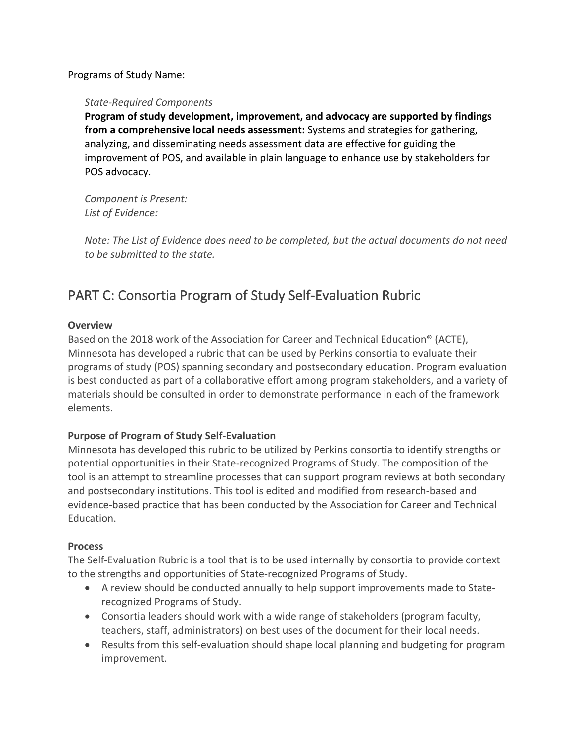Programs of Study Name:

#### *State-Required Components*

 **from a comprehensive local needs assessment:** Systems and strategies for gathering, analyzing, and disseminating needs assessment data are effective for guiding the improvement of POS, and available in plain language to enhance use by stakeholders for POS advocacy. **Program of study development, improvement, and advocacy are supported by findings** 

 *Component is Present: List of Evidence:* 

 *Note: The List of Evidence does need to be completed, but the actual documents do not need to be submitted to the state.* 

# PART C: Consortia Program of Study Self-Evaluation Rubric

#### **Overview**

 Based on the 2018 work of the Association for Career and Technical Education® (ACTE), Minnesota has developed a rubric that can be used by Perkins consortia to evaluate their programs of study (POS) spanning secondary and postsecondary education. Program evaluation is best conducted as part of a collaborative effort among program stakeholders, and a variety of materials should be consulted in order to demonstrate performance in each of the framework elements.

#### **Purpose of Program of Study Self-Evaluation**

 Minnesota has developed this rubric to be utilized by Perkins consortia to identify strengths or potential opportunities in their State-recognized Programs of Study. The composition of the tool is an attempt to streamline processes that can support program reviews at both secondary and postsecondary institutions. This tool is edited and modified from research-based and evidence-based practice that has been conducted by the Association for Career and Technical Education.

#### **Process**

 The Self-Evaluation Rubric is a tool that is to be used internally by consortia to provide context to the strengths and opportunities of State-recognized Programs of Study.

- • A review should be conducted annually to help support improvements made to State-recognized Programs of Study.
- • Consortia leaders should work with a wide range of stakeholders (program faculty, teachers, staff, administrators) on best uses of the document for their local needs.
- • Results from this self-evaluation should shape local planning and budgeting for program improvement.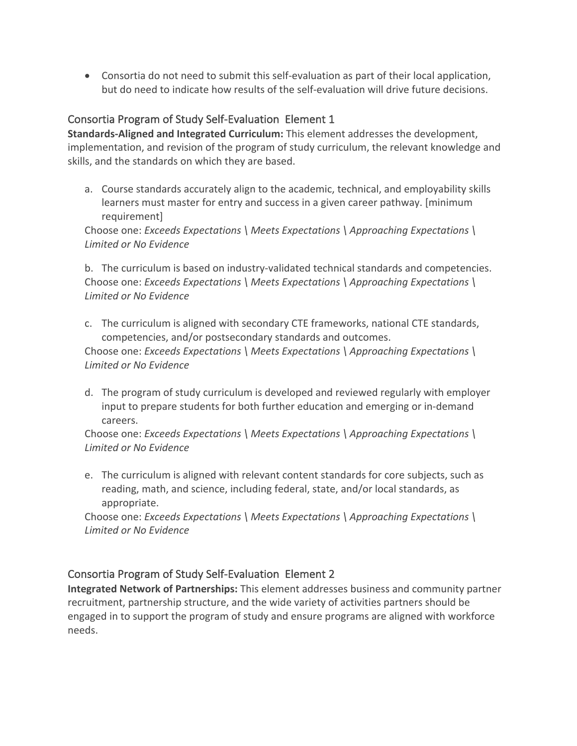• Consortia do not need to submit this self-evaluation as part of their local application, but do need to indicate how results of the self-evaluation will drive future decisions.

# Consortia Program of Study Self-Evaluation Element 1

 **Standards-Aligned and Integrated Curriculum:** This element addresses the development, implementation, and revision of the program of study curriculum, the relevant knowledge and skills, and the standards on which they are based.

 a. Course standards accurately align to the academic, technical, and employability skills learners must master for entry and success in a given career pathway. [minimum requirement]

 requirement] Choose one: *Exceeds Expectations \ Meets Expectations \ Approaching Expectations \ Limited or No Evidence* 

 b. The curriculum is based on industry-validated technical standards and competencies.  Choose one: *Exceeds Expectations \ Meets Expectations \ Approaching Expectations \ Limited or No Evidence* 

 c. The curriculum is aligned with secondary CTE frameworks, national CTE standards, competencies, and/or postsecondary standards and outcomes.

 Choose one: *Exceeds Expectations \ Meets Expectations \ Approaching Expectations \ Limited or No Evidence* 

 d. The program of study curriculum is developed and reviewed regularly with employer input to prepare students for both further education and emerging or in-demand careers.

careers.<br>
Choose one: *Exceeds Expectations \ Meets Expectations \ Approaching Expectations \ Limited or No Evidence* 

 e. The curriculum is aligned with relevant content standards for core subjects, such as reading, math, and science, including federal, state, and/or local standards, as appropriate.

appropriate.<br>
Choose one: *Exceeds Expectations \ Meets Expectations \ Approaching Expectations \ Limited or No Evidence* 

# Consortia Program of Study Self-Evaluation Element 2

 **Integrated Network of Partnerships:** This element addresses business and community partner recruitment, partnership structure, and the wide variety of activities partners should be engaged in to support the program of study and ensure programs are aligned with workforce needs.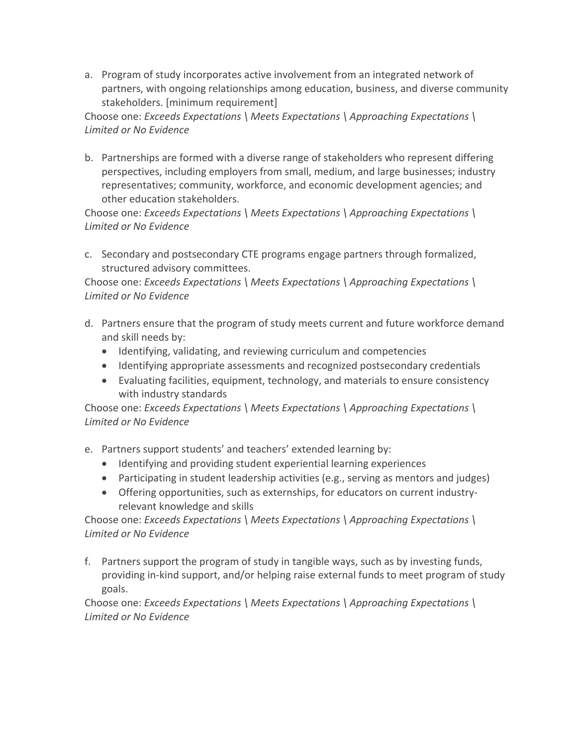a. Program of study incorporates active involvement from an integrated network of partners, with ongoing relationships among education, business, and diverse community stakeholders. [minimum requirement]

 Choose one: *Exceeds Expectations \ Meets Expectations \ Approaching Expectations \ Limited or No Evidence* 

 b. Partnerships are formed with a diverse range of stakeholders who represent differing perspectives, including employers from small, medium, and large businesses; industry representatives; community, workforce, and economic development agencies; and other education stakeholders.

 Choose one: *Exceeds Expectations \ Meets Expectations \ Approaching Expectations \ Limited or No Evidence* 

 c. Secondary and postsecondary CTE programs engage partners through formalized, structured advisory committees.

 Choose one: *Exceeds Expectations \ Meets Expectations \ Approaching Expectations \ Limited or No Evidence* 

- d. Partners ensure that the program of study meets current and future workforce demand and skill needs by:
	- Identifying, validating, and reviewing curriculum and competencies
	- Identifying appropriate assessments and recognized postsecondary credentials
	- • Evaluating facilities, equipment, technology, and materials to ensure consistency with industry standards

 Choose one: *Exceeds Expectations \ Meets Expectations \ Approaching Expectations \ Limited or No Evidence* 

- e. Partners support students' and teachers' extended learning by:
	- Identifying and providing student experiential learning experiences
	- Participating in student leadership activities (e.g., serving as mentors and judges)
	- • Offering opportunities, such as externships, for educators on current industry-relevant knowledge and skills

 Choose one: *Exceeds Expectations \ Meets Expectations \ Approaching Expectations \ Limited or No Evidence* 

 f. Partners support the program of study in tangible ways, such as by investing funds, providing in-kind support, and/or helping raise external funds to meet program of study goals.

 Choose one: *Exceeds Expectations \ Meets Expectations \ Approaching Expectations \ Limited or No Evidence*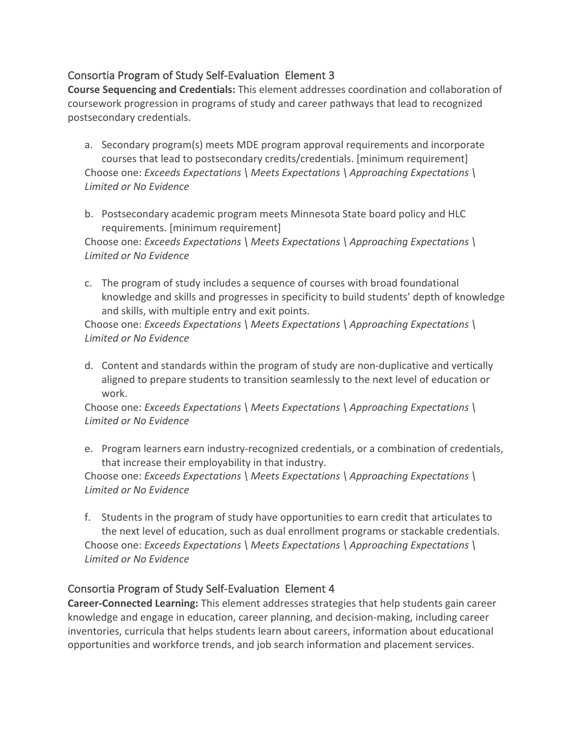# Consortia Program of Study Self-Evaluation Element 3

 **Course Sequencing and Credentials:** This element addresses coordination and collaboration of coursework progression in programs of study and career pathways that lead to recognized postsecondary credentials.

- a. Secondary program(s) meets MDE program approval requirements and incorporate courses that lead to postsecondary credits/credentials. [minimum requirement]  Choose one: *Exceeds Expectations \ Meets Expectations \ Approaching Expectations \ Limited or No Evidence*
- b. Postsecondary academic program meets Minnesota State board policy and HLC requirements. [minimum requirement]

 Choose one: *Exceeds Expectations \ Meets Expectations \ Approaching Expectations \ Limited or No Evidence* 

 c. The program of study includes a sequence of courses with broad foundational knowledge and skills and progresses in specificity to build students' depth of knowledge and skills, with multiple entry and exit points.

 Choose one: *Exceeds Expectations \ Meets Expectations \ Approaching Expectations \ Limited or No Evidence* 

 d. Content and standards within the program of study are non-duplicative and vertically aligned to prepare students to transition seamlessly to the next level of education or work.

 Choose one: *Exceeds Expectations \ Meets Expectations \ Approaching Expectations \ Limited or No Evidence* 

 e. Program learners earn industry-recognized credentials, or a combination of credentials, that increase their employability in that industry.

 Choose one: *Exceeds Expectations \ Meets Expectations \ Approaching Expectations \ Limited or No Evidence* 

 f. Students in the program of study have opportunities to earn credit that articulates to the next level of education, such as dual enrollment programs or stackable credentials.  Choose one: *Exceeds Expectations \ Meets Expectations \ Approaching Expectations \ Limited or No Evidence* 

# Consortia Program of Study Self-Evaluation Element 4

 **Career-Connected Learning:** This element addresses strategies that help students gain career knowledge and engage in education, career planning, and decision-making, including career inventories, curricula that helps students learn about careers, information about educational opportunities and workforce trends, and job search information and placement services.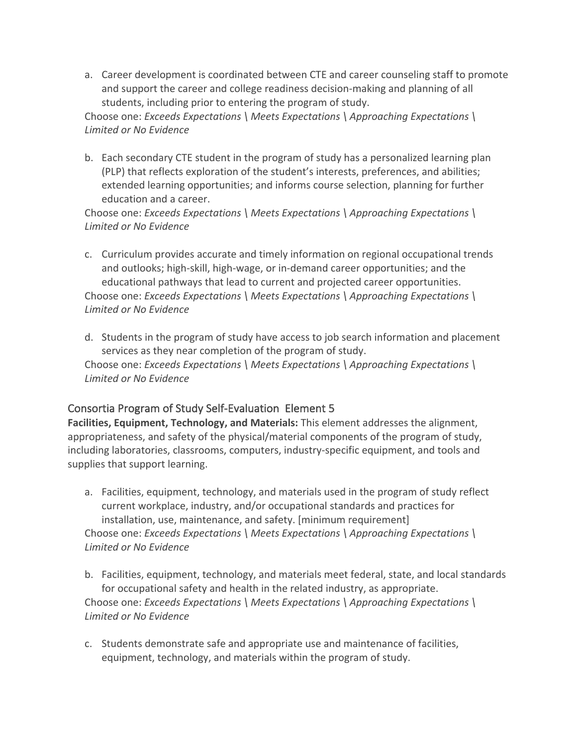a. Career development is coordinated between CTE and career counseling staff to promote and support the career and college readiness decision-making and planning of all students, including prior to entering the program of study.

 Choose one: *Exceeds Expectations \ Meets Expectations \ Approaching Expectations \ Limited or No Evidence* 

 b. Each secondary CTE student in the program of study has a personalized learning plan (PLP) that reflects exploration of the student's interests, preferences, and abilities; extended learning opportunities; and informs course selection, planning for further education and a career.

 Choose one: *Exceeds Expectations \ Meets Expectations \ Approaching Expectations \ Limited or No Evidence* 

- c. Curriculum provides accurate and timely information on regional occupational trends and outlooks; high-skill, high-wage, or in-demand career opportunities; and the educational pathways that lead to current and projected career opportunities.  Choose one: *Exceeds Expectations \ Meets Expectations \ Approaching Expectations \ Limited or No Evidence*
- d. Students in the program of study have access to job search information and placement services as they near completion of the program of study.  Choose one: *Exceeds Expectations \ Meets Expectations \ Approaching Expectations \ Limited or No Evidence*

# Consortia Program of Study Self-Evaluation Element 5

 **Facilities, Equipment, Technology, and Materials:** This element addresses the alignment, appropriateness, and safety of the physical/material components of the program of study, including laboratories, classrooms, computers, industry-specific equipment, and tools and supplies that support learning.

- a. Facilities, equipment, technology, and materials used in the program of study reflect current workplace, industry, and/or occupational standards and practices for installation, use, maintenance, and safety. [minimum requirement]  Choose one: *Exceeds Expectations \ Meets Expectations \ Approaching Expectations \ Limited or No Evidence*
- b. Facilities, equipment, technology, and materials meet federal, state, and local standards for occupational safety and health in the related industry, as appropriate.  Choose one: *Exceeds Expectations \ Meets Expectations \ Approaching Expectations \ Limited or No Evidence*
- c. Students demonstrate safe and appropriate use and maintenance of facilities, equipment, technology, and materials within the program of study.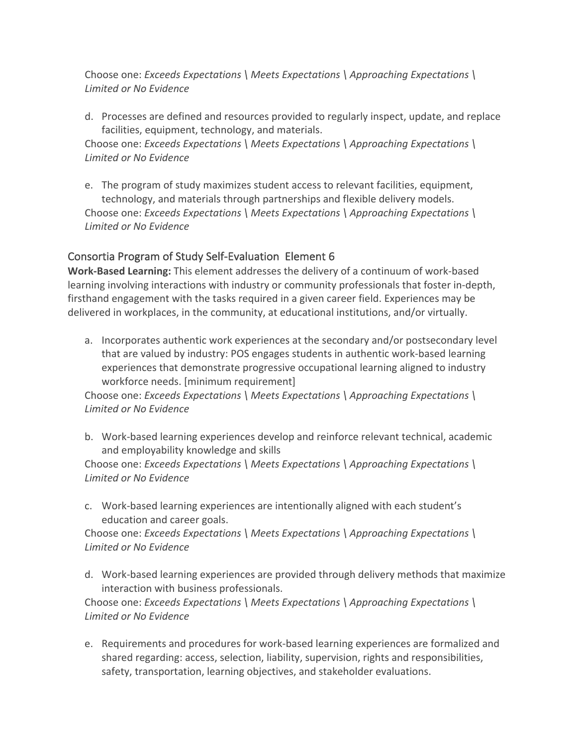Choose one: *Exceeds Expectations \ Meets Expectations \ Approaching Expectations \ Limited or No Evidence* 

 d. Processes are defined and resources provided to regularly inspect, update, and replace facilities, equipment, technology, and materials.

 Choose one: *Exceeds Expectations \ Meets Expectations \ Approaching Expectations \ Limited or No Evidence* 

 e. The program of study maximizes student access to relevant facilities, equipment, technology, and materials through partnerships and flexible delivery models.  Choose one: *Exceeds Expectations \ Meets Expectations \ Approaching Expectations \ Limited or No Evidence* 

# Consortia Program of Study Self-Evaluation Element 6

 **Work-Based Learning:** This element addresses the delivery of a continuum of work-based learning involving interactions with industry or community professionals that foster in-depth, firsthand engagement with the tasks required in a given career field. Experiences may be delivered in workplaces, in the community, at educational institutions, and/or virtually.

 a. Incorporates authentic work experiences at the secondary and/or postsecondary level that are valued by industry: POS engages students in authentic work-based learning experiences that demonstrate progressive occupational learning aligned to industry workforce needs. [minimum requirement]

 Choose one: *Exceeds Expectations \ Meets Expectations \ Approaching Expectations \ Limited or No Evidence* 

 b. Work-based learning experiences develop and reinforce relevant technical, academic and employability knowledge and skills

 Choose one: *Exceeds Expectations \ Meets Expectations \ Approaching Expectations \ Limited or No Evidence* 

 c. Work-based learning experiences are intentionally aligned with each student's education and career goals.

 Choose one: *Exceeds Expectations \ Meets Expectations \ Approaching Expectations \ Limited or No Evidence* 

 d. Work-based learning experiences are provided through delivery methods that maximize interaction with business professionals.

 Choose one: *Exceeds Expectations \ Meets Expectations \ Approaching Expectations \ Limited or No Evidence* 

 e. Requirements and procedures for work-based learning experiences are formalized and shared regarding: access, selection, liability, supervision, rights and responsibilities, safety, transportation, learning objectives, and stakeholder evaluations.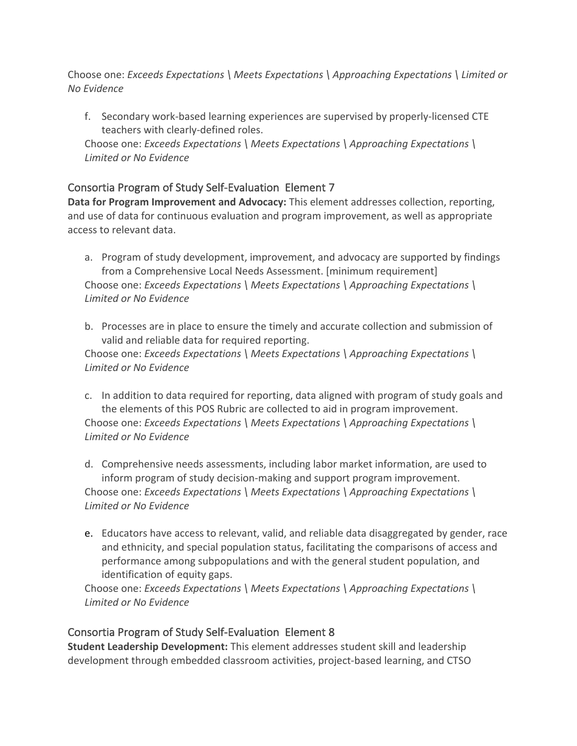Choose one: *Exceeds Expectations \ Meets Expectations \ Approaching Expectations \ Limited or No Evidence* 

 f. Secondary work-based learning experiences are supervised by properly-licensed CTE teachers with clearly-defined roles.

 Choose one: *Exceeds Expectations \ Meets Expectations \ Approaching Expectations \ Limited or No Evidence* 

# Consortia Program of Study Self-Evaluation Element 7

Data for Program Improvement and Advocacy: This element addresses collection, reporting, and use of data for continuous evaluation and program improvement, as well as appropriate access to relevant data.

- a. Program of study development, improvement, and advocacy are supported by findings from a Comprehensive Local Needs Assessment. [minimum requirement]  Choose one: *Exceeds Expectations \ Meets Expectations \ Approaching Expectations \ Limited or No Evidence*
- b. Processes are in place to ensure the timely and accurate collection and submission of valid and reliable data for required reporting.

 Choose one: *Exceeds Expectations \ Meets Expectations \ Approaching Expectations \ Limited or No Evidence* 

 c. In addition to data required for reporting, data aligned with program of study goals and the elements of this POS Rubric are collected to aid in program improvement.  Choose one: *Exceeds Expectations \ Meets Expectations \ Approaching Expectations \ Limited or No Evidence* 

 d. Comprehensive needs assessments, including labor market information, are used to inform program of study decision-making and support program improvement.  Choose one: *Exceeds Expectations \ Meets Expectations \ Approaching Expectations \ Limited or No Evidence* 

 e. Educators have access to relevant, valid, and reliable data disaggregated by gender, race and ethnicity, and special population status, facilitating the comparisons of access and performance among subpopulations and with the general student population, and identification of equity gaps.

 Choose one: *Exceeds Expectations \ Meets Expectations \ Approaching Expectations \ Limited or No Evidence* 

# Consortia Program of Study Self-Evaluation Element 8

 **Student Leadership Development:** This element addresses student skill and leadership development through embedded classroom activities, project-based learning, and CTSO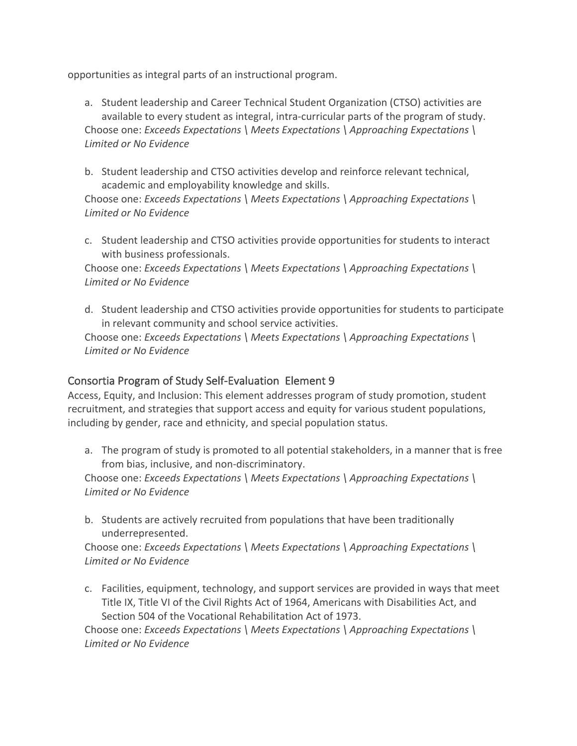opportunities as integral parts of an instructional program.

- a. Student leadership and Career Technical Student Organization (CTSO) activities are available to every student as integral, intra-curricular parts of the program of study.  Choose one: *Exceeds Expectations \ Meets Expectations \ Approaching Expectations \ Limited or No Evidence*
- b. Student leadership and CTSO activities develop and reinforce relevant technical, academic and employability knowledge and skills.

 Choose one: *Exceeds Expectations \ Meets Expectations \ Approaching Expectations \ Limited or No Evidence* 

 c. Student leadership and CTSO activities provide opportunities for students to interact with business professionals.

 Choose one: *Exceeds Expectations \ Meets Expectations \ Approaching Expectations \ Limited or No Evidence* 

 d. Student leadership and CTSO activities provide opportunities for students to participate in relevant community and school service activities.

 Choose one: *Exceeds Expectations \ Meets Expectations \ Approaching Expectations \ Limited or No Evidence* 

# Consortia Program of Study Self-Evaluation Element 9

 Access, Equity, and Inclusion: This element addresses program of study promotion, student recruitment, and strategies that support access and equity for various student populations, including by gender, race and ethnicity, and special population status.

 a. The program of study is promoted to all potential stakeholders, in a manner that is free from bias, inclusive, and non-discriminatory.

 Choose one: *Exceeds Expectations \ Meets Expectations \ Approaching Expectations \ Limited or No Evidence* 

 b. Students are actively recruited from populations that have been traditionally underrepresented.

 Choose one: *Exceeds Expectations \ Meets Expectations \ Approaching Expectations \ Limited or No Evidence* 

 c. Facilities, equipment, technology, and support services are provided in ways that meet Title IX, Title VI of the Civil Rights Act of 1964, Americans with Disabilities Act, and Section 504 of the Vocational Rehabilitation Act of 1973.

 Choose one: *Exceeds Expectations \ Meets Expectations \ Approaching Expectations \ Limited or No Evidence*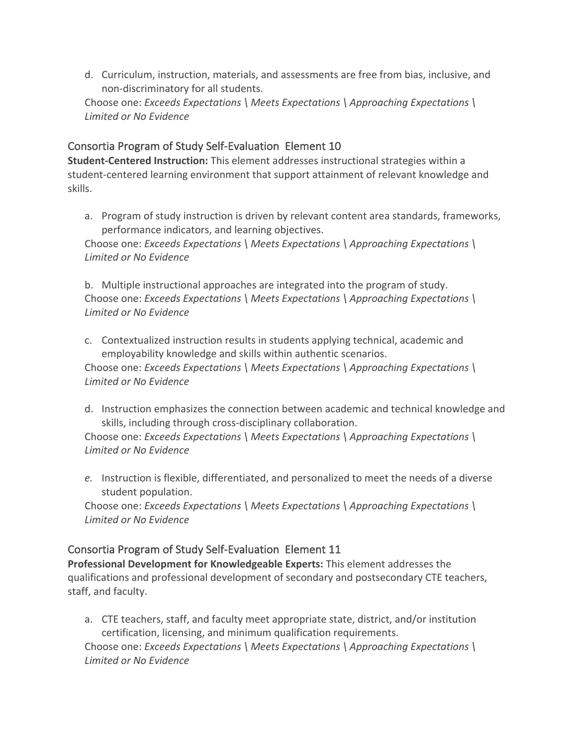d. Curriculum, instruction, materials, and assessments are free from bias, inclusive, and non-discriminatory for all students.

 Choose one: *Exceeds Expectations \ Meets Expectations \ Approaching Expectations \ Limited or No Evidence* 

# Consortia Program of Study Self-Evaluation Element 10

 **Student-Centered Instruction:** This element addresses instructional strategies within a student-centered learning environment that support attainment of relevant knowledge and skills.

 a. Program of study instruction is driven by relevant content area standards, frameworks, performance indicators, and learning objectives.

 Choose one: *Exceeds Expectations \ Meets Expectations \ Approaching Expectations \ Limited or No Evidence* 

 b. Multiple instructional approaches are integrated into the program of study.  Choose one: *Exceeds Expectations \ Meets Expectations \ Approaching Expectations \ Limited or No Evidence* 

 c. Contextualized instruction results in students applying technical, academic and employability knowledge and skills within authentic scenarios.

 Choose one: *Exceeds Expectations \ Meets Expectations \ Approaching Expectations \ Limited or No Evidence* 

 d. Instruction emphasizes the connection between academic and technical knowledge and skills, including through cross-disciplinary collaboration.

 Choose one: *Exceeds Expectations \ Meets Expectations \ Approaching Expectations \ Limited or No Evidence* 

 *e.* Instruction is flexible, differentiated, and personalized to meet the needs of a diverse student population.

 Choose one: *Exceeds Expectations \ Meets Expectations \ Approaching Expectations \ Limited or No Evidence* 

# Consortia Program of Study Self-Evaluation Element 11

 **Professional Development for Knowledgeable Experts:** This element addresses the qualifications and professional development of secondary and postsecondary CTE teachers, staff, and faculty.

 a. CTE teachers, staff, and faculty meet appropriate state, district, and/or institution certification, licensing, and minimum qualification requirements.  Choose one: *Exceeds Expectations \ Meets Expectations \ Approaching Expectations \ Limited or No Evidence*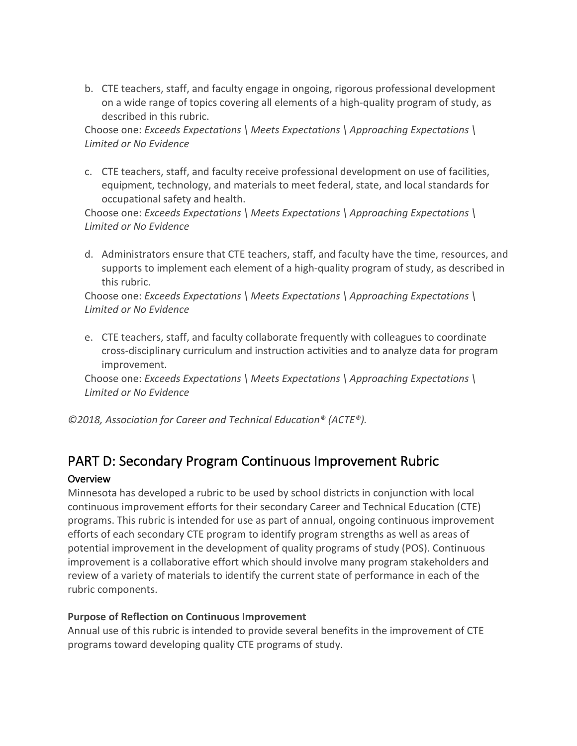b. CTE teachers, staff, and faculty engage in ongoing, rigorous professional development on a wide range of topics covering all elements of a high-quality program of study, as described in this rubric.

 Choose one: *Exceeds Expectations \ Meets Expectations \ Approaching Expectations \ Limited or No Evidence* 

 c. CTE teachers, staff, and faculty receive professional development on use of facilities, equipment, technology, and materials to meet federal, state, and local standards for occupational safety and health.

 Choose one: *Exceeds Expectations \ Meets Expectations \ Approaching Expectations \ Limited or No Evidence* 

 d. Administrators ensure that CTE teachers, staff, and faculty have the time, resources, and supports to implement each element of a high-quality program of study, as described in this rubric.

 Choose one: *Exceeds Expectations \ Meets Expectations \ Approaching Expectations \ Limited or No Evidence* 

 e. CTE teachers, staff, and faculty collaborate frequently with colleagues to coordinate cross-disciplinary curriculum and instruction activities and to analyze data for program improvement.

 Choose one: *Exceeds Expectations \ Meets Expectations \ Approaching Expectations \ Limited or No Evidence* 

 *©2018, Association for Career and Technical Education® (ACTE®).* 

# PART D: Secondary Program Continuous Improvement Rubric

# Overview

 Minnesota has developed a rubric to be used by school districts in conjunction with local continuous improvement efforts for their secondary Career and Technical Education (CTE) programs. This rubric is intended for use as part of annual, ongoing continuous improvement efforts of each secondary CTE program to identify program strengths as well as areas of potential improvement in the development of quality programs of study (POS). Continuous improvement is a collaborative effort which should involve many program stakeholders and review of a variety of materials to identify the current state of performance in each of the rubric components.

#### **Purpose of Reflection on Continuous Improvement**

 Annual use of this rubric is intended to provide several benefits in the improvement of CTE programs toward developing quality CTE programs of study.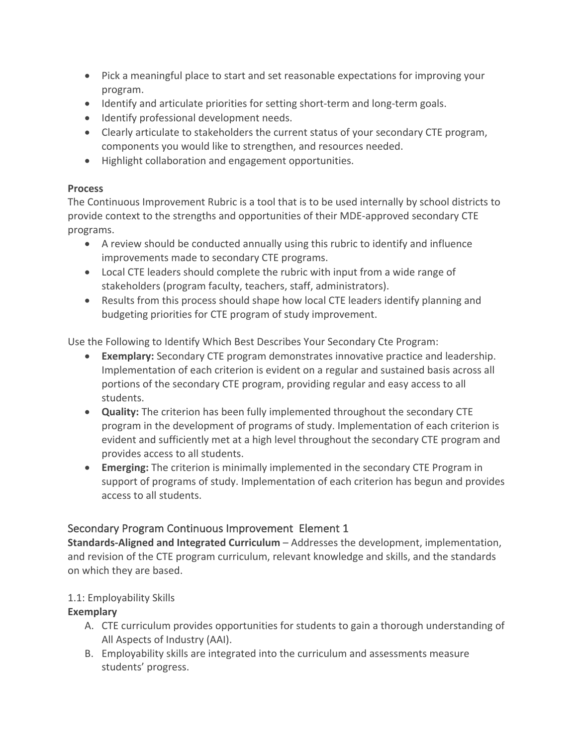- • Pick a meaningful place to start and set reasonable expectations for improving your program.
- Identify and articulate priorities for setting short-term and long-term goals.
- Identify professional development needs.
- • Clearly articulate to stakeholders the current status of your secondary CTE program, components you would like to strengthen, and resources needed.
- Highlight collaboration and engagement opportunities.

# **Process**

 The Continuous Improvement Rubric is a tool that is to be used internally by school districts to provide context to the strengths and opportunities of their MDE-approved secondary CTE programs.

- • A review should be conducted annually using this rubric to identify and influence improvements made to secondary CTE programs.
- • Local CTE leaders should complete the rubric with input from a wide range of stakeholders (program faculty, teachers, staff, administrators).
- • Results from this process should shape how local CTE leaders identify planning and budgeting priorities for CTE program of study improvement.

Use the Following to Identify Which Best Describes Your Secondary Cte Program:

- • **Exemplary:** Secondary CTE program demonstrates innovative practice and leadership. Implementation of each criterion is evident on a regular and sustained basis across all portions of the secondary CTE program, providing regular and easy access to all students.
- • **Quality:** The criterion has been fully implemented throughout the secondary CTE program in the development of programs of study. Implementation of each criterion is evident and sufficiently met at a high level throughout the secondary CTE program and provides access to all students.
- • **Emerging:** The criterion is minimally implemented in the secondary CTE Program in support of programs of study. Implementation of each criterion has begun and provides access to all students.

# Secondary Program Continuous Improvement Element 1

 **Standards-Aligned and Integrated Curriculum** – Addresses the development, implementation, and revision of the CTE program curriculum, relevant knowledge and skills, and the standards on which they are based.

# 1.1: Employability Skills

- A. CTE curriculum provides opportunities for students to gain a thorough understanding of All Aspects of Industry (AAI).
- B. Employability skills are integrated into the curriculum and assessments measure students' progress.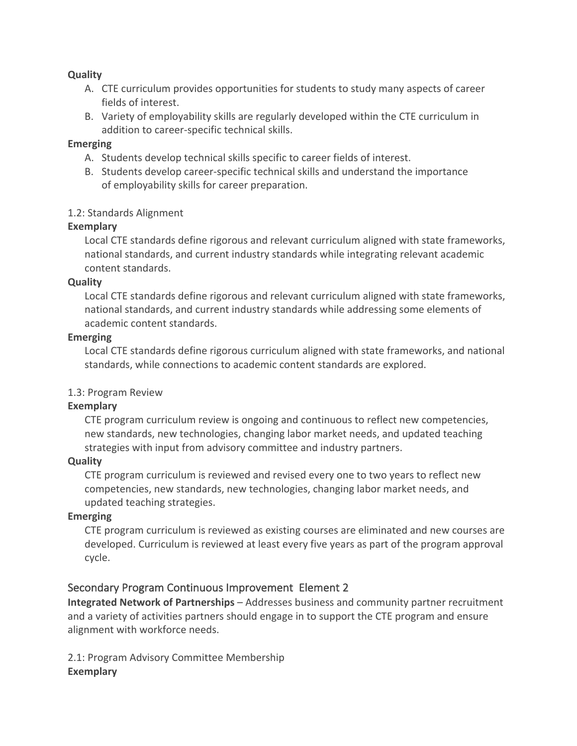#### **Quality**

- A. CTE curriculum provides opportunities for students to study many aspects of career fields of interest.
- B. Variety of employability skills are regularly developed within the CTE curriculum in addition to career-specific technical skills.

#### **Emerging**

- A. Students develop technical skills specific to career fields of interest.
- B. Students develop career-specific technical skills and understand the importance of employability skills for career preparation.

#### 1.2: Standards Alignment

#### **Exemplary**

 Local CTE standards define rigorous and relevant curriculum aligned with state frameworks, national standards, and current industry standards while integrating relevant academic content standards.

#### **Quality**

 Local CTE standards define rigorous and relevant curriculum aligned with state frameworks, national standards, and current industry standards while addressing some elements of academic content standards.

#### **Emerging**

 Local CTE standards define rigorous curriculum aligned with state frameworks, and national standards, while connections to academic content standards are explored.

# 1.3: Program Review

#### **Exemplary**

 CTE program curriculum review is ongoing and continuous to reflect new competencies, new standards, new technologies, changing labor market needs, and updated teaching strategies with input from advisory committee and industry partners.

#### **Quality**

 CTE program curriculum is reviewed and revised every one to two years to reflect new competencies, new standards, new technologies, changing labor market needs, and updated teaching strategies.

#### **Emerging**

 CTE program curriculum is reviewed as existing courses are eliminated and new courses are developed. Curriculum is reviewed at least every five years as part of the program approval cycle.

#### Secondary Program Continuous Improvement Element 2

 **Integrated Network of Partnerships** – Addresses business and community partner recruitment and a variety of activities partners should engage in to support the CTE program and ensure alignment with workforce needs.

 2.1: Program Advisory Committee Membership **Exemplary**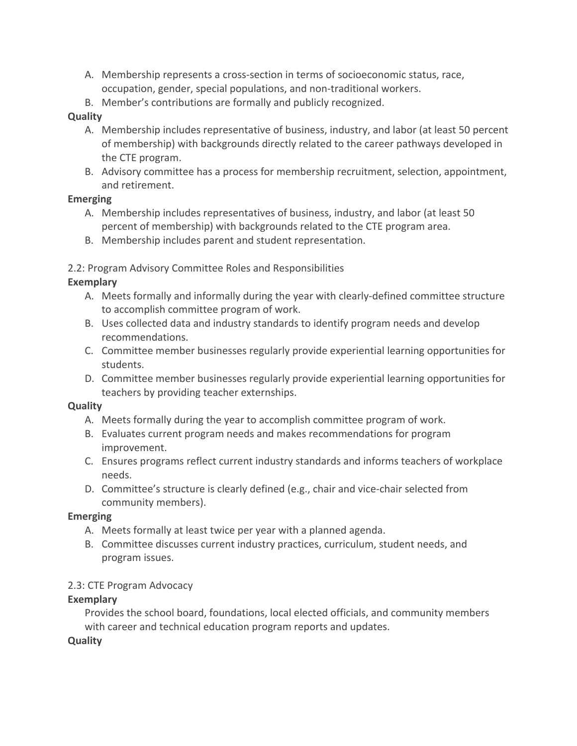- A. Membership represents a cross-section in terms of socioeconomic status, race, occupation, gender, special populations, and non-traditional workers.
- B. Member's contributions are formally and publicly recognized.

### **Quality**

- A. Membership includes representative of business, industry, and labor (at least 50 percent of membership) with backgrounds directly related to the career pathways developed in the CTE program.
- B. Advisory committee has a process for membership recruitment, selection, appointment, and retirement.

# **Emerging**

- A. Membership includes representatives of business, industry, and labor (at least 50 percent of membership) with backgrounds related to the CTE program area.
- B. Membership includes parent and student representation.

# 2.2: Program Advisory Committee Roles and Responsibilities

# **Exemplary**

- A. Meets formally and informally during the year with clearly-defined committee structure to accomplish committee program of work.
- B. Uses collected data and industry standards to identify program needs and develop recommendations.
- C. Committee member businesses regularly provide experiential learning opportunities for students.
- D. Committee member businesses regularly provide experiential learning opportunities for teachers by providing teacher externships.

#### **Quality**

- A. Meets formally during the year to accomplish committee program of work.
- B. Evaluates current program needs and makes recommendations for program improvement.
- C. Ensures programs reflect current industry standards and informs teachers of workplace needs.
- D. Committee's structure is clearly defined (e.g., chair and vice-chair selected from community members).

#### **Emerging**

- A. Meets formally at least twice per year with a planned agenda.
- B. Committee discusses current industry practices, curriculum, student needs, and program issues.

# 2.3: CTE Program Advocacy

# **Exemplary**

 Provides the school board, foundations, local elected officials, and community members with career and technical education program reports and updates.

#### **Quality**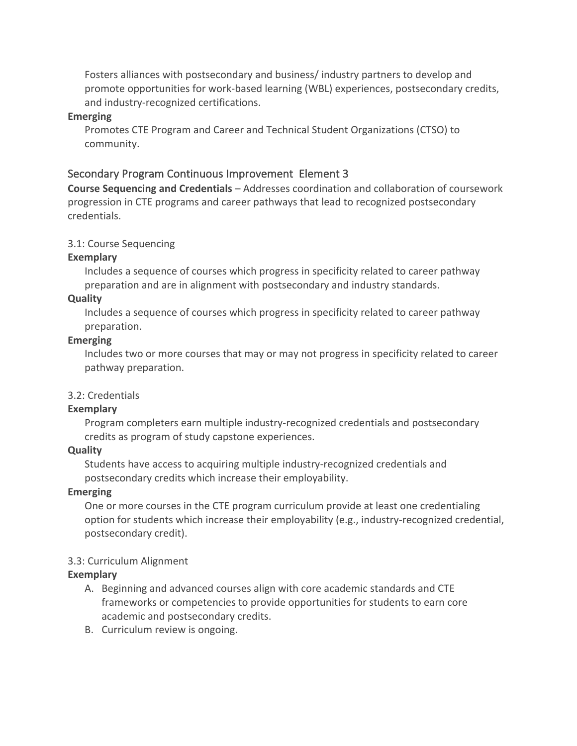Fosters alliances with postsecondary and business/ industry partners to develop and promote opportunities for work-based learning (WBL) experiences, postsecondary credits, and industry-recognized certifications.

#### **Emerging**

 Promotes CTE Program and Career and Technical Student Organizations (CTSO) to community.

#### Secondary Program Continuous Improvement Element 3

 **Course Sequencing and Credentials** – Addresses coordination and collaboration of coursework progression in CTE programs and career pathways that lead to recognized postsecondary credentials.

#### 3.1: Course Sequencing

#### **Exemplary**

 Includes a sequence of courses which progress in specificity related to career pathway preparation and are in alignment with postsecondary and industry standards.

#### **Quality**

 Includes a sequence of courses which progress in specificity related to career pathway preparation.

#### **Emerging**

 Includes two or more courses that may or may not progress in specificity related to career pathway preparation.

#### 3.2: Credentials

#### **Exemplary**

 Program completers earn multiple industry-recognized credentials and postsecondary credits as program of study capstone experiences.

#### **Quality**

 Students have access to acquiring multiple industry-recognized credentials and postsecondary credits which increase their employability.

#### **Emerging**

 One or more courses in the CTE program curriculum provide at least one credentialing option for students which increase their employability (e.g., industry-recognized credential, postsecondary credit).

#### 3.3: Curriculum Alignment

- A. Beginning and advanced courses align with core academic standards and CTE frameworks or competencies to provide opportunities for students to earn core academic and postsecondary credits.
- B. Curriculum review is ongoing.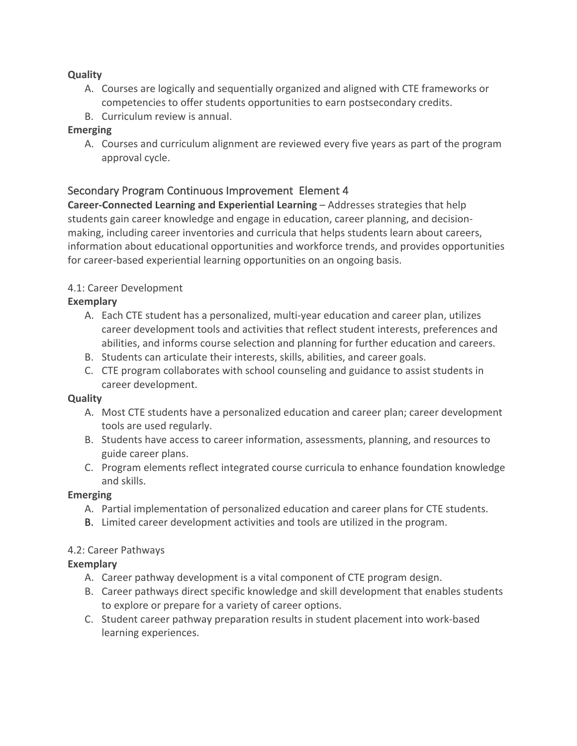#### **Quality**

- A. Courses are logically and sequentially organized and aligned with CTE frameworks or competencies to offer students opportunities to earn postsecondary credits.
- B. Curriculum review is annual.

# **Emerging**

 A. Courses and curriculum alignment are reviewed every five years as part of the program approval cycle.

# Secondary Program Continuous Improvement Element 4

 **Career-Connected Learning and Experiential Learning** – Addresses strategies that help students gain career knowledge and engage in education, career planning, and decision- making, including career inventories and curricula that helps students learn about careers, information about educational opportunities and workforce trends, and provides opportunities for career-based experiential learning opportunities on an ongoing basis.

# 4.1: Career Development

# **Exemplary**

- A. Each CTE student has a personalized, multi-year education and career plan, utilizes career development tools and activities that reflect student interests, preferences and abilities, and informs course selection and planning for further education and careers.
- B. Students can articulate their interests, skills, abilities, and career goals.
- C. CTE program collaborates with school counseling and guidance to assist students in career development.

#### **Quality**

- A. Most CTE students have a personalized education and career plan; career development tools are used regularly.
- B. Students have access to career information, assessments, planning, and resources to guide career plans.
- C. Program elements reflect integrated course curricula to enhance foundation knowledge and skills.

#### **Emerging**

- A. Partial implementation of personalized education and career plans for CTE students.
- B. Limited career development activities and tools are utilized in the program.

#### 4.2: Career Pathways

- A. Career pathway development is a vital component of CTE program design.
- B. Career pathways direct specific knowledge and skill development that enables students to explore or prepare for a variety of career options.
- C. Student career pathway preparation results in student placement into work-based learning experiences.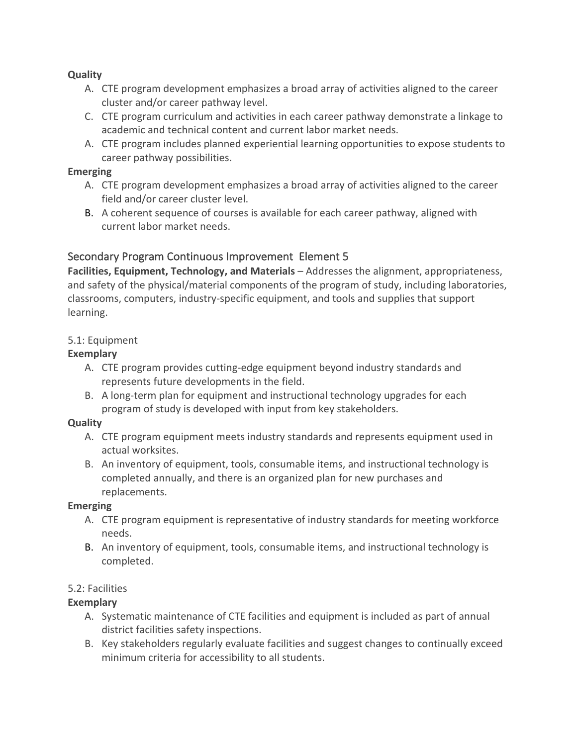#### **Quality**

- A. CTE program development emphasizes a broad array of activities aligned to the career cluster and/or career pathway level.
- C. CTE program curriculum and activities in each career pathway demonstrate a linkage to academic and technical content and current labor market needs.
- A. CTE program includes planned experiential learning opportunities to expose students to career pathway possibilities.

#### **Emerging**

- A. CTE program development emphasizes a broad array of activities aligned to the career field and/or career cluster level.
- B. A coherent sequence of courses is available for each career pathway, aligned with current labor market needs.

# Secondary Program Continuous Improvement Element 5

 **Facilities, Equipment, Technology, and Materials** – Addresses the alignment, appropriateness, and safety of the physical/material components of the program of study, including laboratories, classrooms, computers, industry-specific equipment, and tools and supplies that support learning.

#### 5.1: Equipment

# **Exemplary**

- A. CTE program provides cutting-edge equipment beyond industry standards and represents future developments in the field.
- B. A long-term plan for equipment and instructional technology upgrades for each program of study is developed with input from key stakeholders.

#### **Quality**

- A. CTE program equipment meets industry standards and represents equipment used in actual worksites.
- B. An inventory of equipment, tools, consumable items, and instructional technology is completed annually, and there is an organized plan for new purchases and replacements.

#### **Emerging**

- A. CTE program equipment is representative of industry standards for meeting workforce needs.
- B. An inventory of equipment, tools, consumable items, and instructional technology is completed.

#### 5.2: Facilities

- A. Systematic maintenance of CTE facilities and equipment is included as part of annual district facilities safety inspections.
- B. Key stakeholders regularly evaluate facilities and suggest changes to continually exceed minimum criteria for accessibility to all students.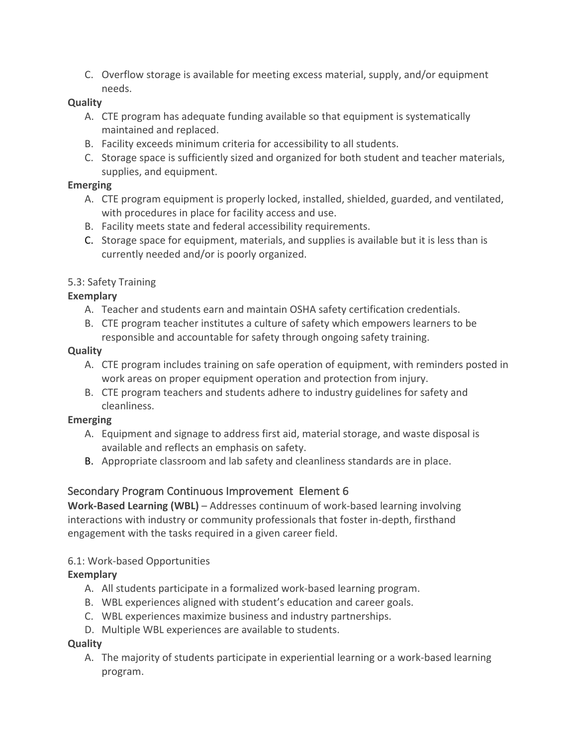C. Overflow storage is available for meeting excess material, supply, and/or equipment needs.

### **Quality**

- A. CTE program has adequate funding available so that equipment is systematically maintained and replaced.
- B. Facility exceeds minimum criteria for accessibility to all students.
- C. Storage space is sufficiently sized and organized for both student and teacher materials, supplies, and equipment.

# **Emerging**

- A. CTE program equipment is properly locked, installed, shielded, guarded, and ventilated, with procedures in place for facility access and use.
- B. Facility meets state and federal accessibility requirements.
- C. Storage space for equipment, materials, and supplies is available but it is less than is currently needed and/or is poorly organized.

# 5.3: Safety Training

# **Exemplary**

- A. Teacher and students earn and maintain OSHA safety certification credentials.
- B. CTE program teacher institutes a culture of safety which empowers learners to be responsible and accountable for safety through ongoing safety training.

#### **Quality**

- A. CTE program includes training on safe operation of equipment, with reminders posted in work areas on proper equipment operation and protection from injury.
- B. CTE program teachers and students adhere to industry guidelines for safety and cleanliness.

# **Emerging**

- A. Equipment and signage to address first aid, material storage, and waste disposal is available and reflects an emphasis on safety.
- B. Appropriate classroom and lab safety and cleanliness standards are in place.

# Secondary Program Continuous Improvement Element 6

 **Work-Based Learning (WBL)** – Addresses continuum of work-based learning involving interactions with industry or community professionals that foster in-depth, firsthand engagement with the tasks required in a given career field.

#### 6.1: Work-based Opportunities

# **Exemplary**

- A. All students participate in a formalized work-based learning program.
- B. WBL experiences aligned with student's education and career goals.
- C. WBL experiences maximize business and industry partnerships.
- D. Multiple WBL experiences are available to students.

# **Quality**

 A. The majority of students participate in experiential learning or a work-based learning program.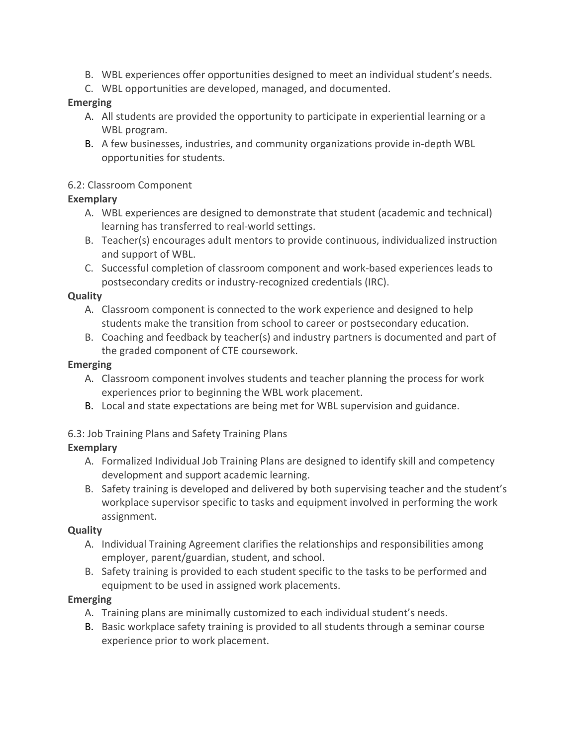- B. WBL experiences offer opportunities designed to meet an individual student's needs.
- C. WBL opportunities are developed, managed, and documented.

#### **Emerging**

- A. All students are provided the opportunity to participate in experiential learning or a WBL program.
- B. A few businesses, industries, and community organizations provide in-depth WBL opportunities for students.

#### 6.2: Classroom Component

#### **Exemplary**

- A. WBL experiences are designed to demonstrate that student (academic and technical) learning has transferred to real-world settings.
- B. Teacher(s) encourages adult mentors to provide continuous, individualized instruction and support of WBL.
- C. Successful completion of classroom component and work-based experiences leads to postsecondary credits or industry-recognized credentials (IRC).

#### **Quality**

- A. Classroom component is connected to the work experience and designed to help students make the transition from school to career or postsecondary education.
- B. Coaching and feedback by teacher(s) and industry partners is documented and part of the graded component of CTE coursework.

#### **Emerging**

- A. Classroom component involves students and teacher planning the process for work experiences prior to beginning the WBL work placement.
- B. Local and state expectations are being met for WBL supervision and guidance.

#### 6.3: Job Training Plans and Safety Training Plans

#### **Exemplary**

- A. Formalized Individual Job Training Plans are designed to identify skill and competency development and support academic learning.
- B. Safety training is developed and delivered by both supervising teacher and the student's workplace supervisor specific to tasks and equipment involved in performing the work assignment.

#### **Quality**

- A. Individual Training Agreement clarifies the relationships and responsibilities among employer, parent/guardian, student, and school.
- B. Safety training is provided to each student specific to the tasks to be performed and equipment to be used in assigned work placements.

#### **Emerging**

- A. Training plans are minimally customized to each individual student's needs.
- B. Basic workplace safety training is provided to all students through a seminar course experience prior to work placement.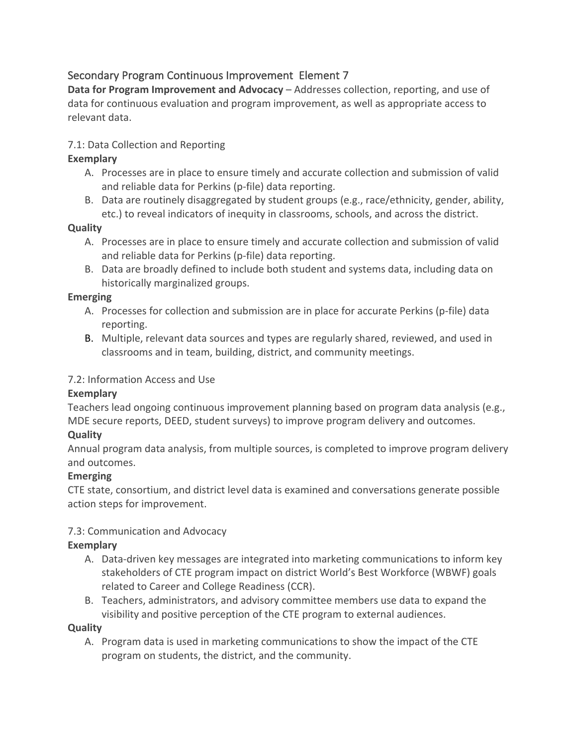# Secondary Program Continuous Improvement Element 7

Data for Program Improvement and Advocacy - Addresses collection, reporting, and use of data for continuous evaluation and program improvement, as well as appropriate access to relevant data.

# 7.1: Data Collection and Reporting

### **Exemplary**

- A. Processes are in place to ensure timely and accurate collection and submission of valid and reliable data for Perkins (p-file) data reporting.
- B. Data are routinely disaggregated by student groups (e.g., race/ethnicity, gender, ability, etc.) to reveal indicators of inequity in classrooms, schools, and across the district.

# **Quality**

- A. Processes are in place to ensure timely and accurate collection and submission of valid and reliable data for Perkins (p-file) data reporting.
- B. Data are broadly defined to include both student and systems data, including data on historically marginalized groups.

# **Emerging**

- A. Processes for collection and submission are in place for accurate Perkins (p-file) data reporting.
- B. Multiple, relevant data sources and types are regularly shared, reviewed, and used in classrooms and in team, building, district, and community meetings.

# 7.2: Information Access and Use

#### **Exemplary**

 Teachers lead ongoing continuous improvement planning based on program data analysis (e.g., MDE secure reports, DEED, student surveys) to improve program delivery and outcomes.

# **Quality**

 Annual program data analysis, from multiple sources, is completed to improve program delivery and outcomes.

# **Emerging**

 CTE state, consortium, and district level data is examined and conversations generate possible action steps for improvement.

# 7.3: Communication and Advocacy

#### **Exemplary**

- A. Data-driven key messages are integrated into marketing communications to inform key stakeholders of CTE program impact on district World's Best Workforce (WBWF) goals related to Career and College Readiness (CCR).
- B. Teachers, administrators, and advisory committee members use data to expand the visibility and positive perception of the CTE program to external audiences.

#### **Quality**

 A. Program data is used in marketing communications to show the impact of the CTE program on students, the district, and the community.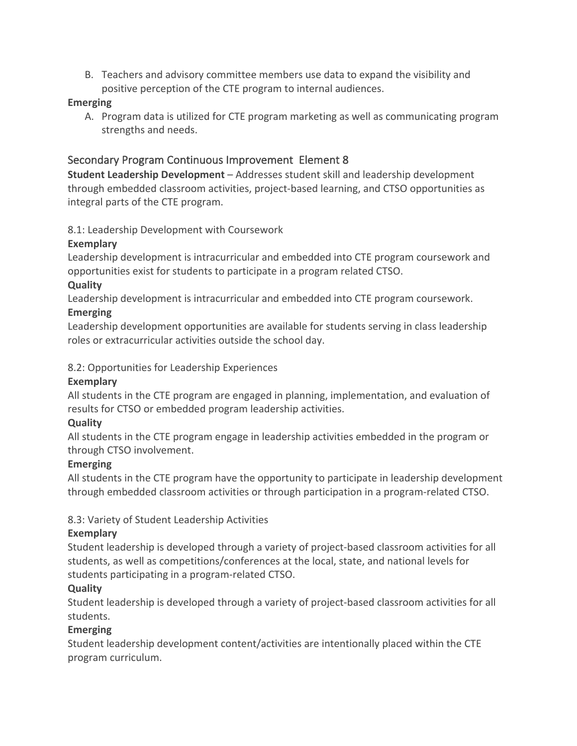B. Teachers and advisory committee members use data to expand the visibility and positive perception of the CTE program to internal audiences.

#### **Emerging**

 A. Program data is utilized for CTE program marketing as well as communicating program strengths and needs.

# Secondary Program Continuous Improvement Element 8

 **Student Leadership Development** – Addresses student skill and leadership development through embedded classroom activities, project-based learning, and CTSO opportunities as integral parts of the CTE program.

#### 8.1: Leadership Development with Coursework

#### **Exemplary**

 Leadership development is intracurricular and embedded into CTE program coursework and opportunities exist for students to participate in a program related CTSO.

#### **Quality**

Leadership development is intracurricular and embedded into CTE program coursework.

#### **Emerging**

 Leadership development opportunities are available for students serving in class leadership roles or extracurricular activities outside the school day.

#### 8.2: Opportunities for Leadership Experiences

#### **Exemplary**

 All students in the CTE program are engaged in planning, implementation, and evaluation of results for CTSO or embedded program leadership activities.

#### **Quality**

 All students in the CTE program engage in leadership activities embedded in the program or through CTSO involvement.

# **Emerging**

 All students in the CTE program have the opportunity to participate in leadership development through embedded classroom activities or through participation in a program-related CTSO.

# 8.3: Variety of Student Leadership Activities

# **Exemplary**

 Student leadership is developed through a variety of project-based classroom activities for all students, as well as competitions/conferences at the local, state, and national levels for students participating in a program-related CTSO.

# **Quality**

 Student leadership is developed through a variety of project-based classroom activities for all students.

# **Emerging**

 Student leadership development content/activities are intentionally placed within the CTE program curriculum.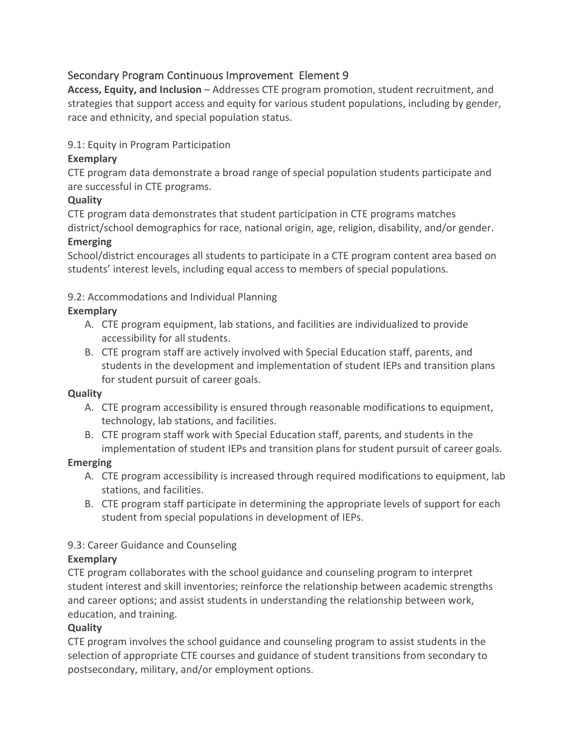# Secondary Program Continuous Improvement Element 9

Access, Equity, and Inclusion - Addresses CTE program promotion, student recruitment, and strategies that support access and equity for various student populations, including by gender, race and ethnicity, and special population status.

# 9.1: Equity in Program Participation

# **Exemplary**

 CTE program data demonstrate a broad range of special population students participate and are successful in CTE programs.

# **Quality**

 CTE program data demonstrates that student participation in CTE programs matches district/school demographics for race, national origin, age, religion, disability, and/or gender.

# **Emerging**

 School/district encourages all students to participate in a CTE program content area based on students' interest levels, including equal access to members of special populations.

9.2: Accommodations and Individual Planning

#### **Exemplary**

- A. CTE program equipment, lab stations, and facilities are individualized to provide accessibility for all students.
- B. CTE program staff are actively involved with Special Education staff, parents, and students in the development and implementation of student IEPs and transition plans for student pursuit of career goals.

#### **Quality**

- A. CTE program accessibility is ensured through reasonable modifications to equipment, technology, lab stations, and facilities.
- B. CTE program staff work with Special Education staff, parents, and students in the implementation of student IEPs and transition plans for student pursuit of career goals.

# **Emerging**

- A. CTE program accessibility is increased through required modifications to equipment, lab stations, and facilities.
- B. CTE program staff participate in determining the appropriate levels of support for each student from special populations in development of IEPs.

# 9.3: Career Guidance and Counseling

# **Exemplary**

 CTE program collaborates with the school guidance and counseling program to interpret student interest and skill inventories; reinforce the relationship between academic strengths and career options; and assist students in understanding the relationship between work, education, and training.

# **Quality**

 CTE program involves the school guidance and counseling program to assist students in the selection of appropriate CTE courses and guidance of student transitions from secondary to postsecondary, military, and/or employment options.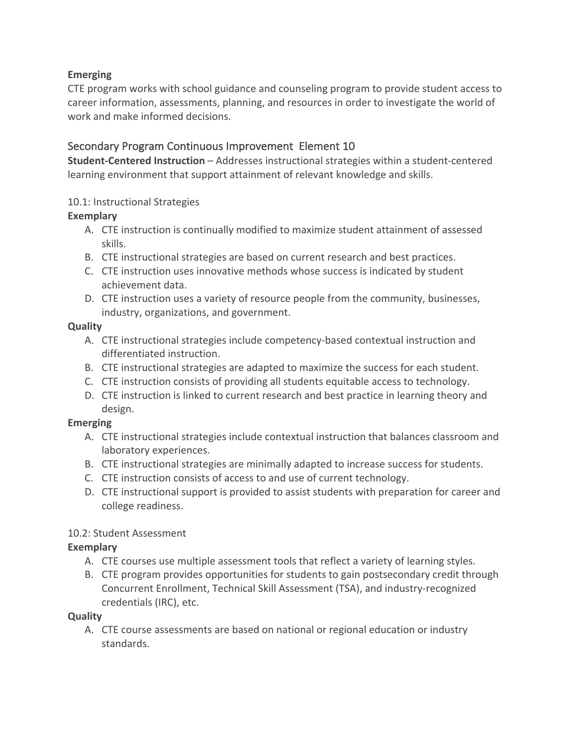# **Emerging**

 CTE program works with school guidance and counseling program to provide student access to career information, assessments, planning, and resources in order to investigate the world of work and make informed decisions.

# Secondary Program Continuous Improvement Element 10

 **Student-Centered Instruction** – Addresses instructional strategies within a student-centered learning environment that support attainment of relevant knowledge and skills.

### 10.1: Instructional Strategies

# **Exemplary**

- A. CTE instruction is continually modified to maximize student attainment of assessed skills.
- B. CTE instructional strategies are based on current research and best practices.
- C. CTE instruction uses innovative methods whose success is indicated by student achievement data.
- D. CTE instruction uses a variety of resource people from the community, businesses, industry, organizations, and government.

#### **Quality**

- A. CTE instructional strategies include competency-based contextual instruction and differentiated instruction.
- B. CTE instructional strategies are adapted to maximize the success for each student.
- C. CTE instruction consists of providing all students equitable access to technology.
- D. CTE instruction is linked to current research and best practice in learning theory and design.

#### **Emerging**

- A. CTE instructional strategies include contextual instruction that balances classroom and laboratory experiences.
- B. CTE instructional strategies are minimally adapted to increase success for students.
- C. CTE instruction consists of access to and use of current technology.
- D. CTE instructional support is provided to assist students with preparation for career and college readiness.

# 10.2: Student Assessment

#### **Exemplary**

- A. CTE courses use multiple assessment tools that reflect a variety of learning styles.
- B. CTE program provides opportunities for students to gain postsecondary credit through Concurrent Enrollment, Technical Skill Assessment (TSA), and industry-recognized credentials (IRC), etc.

#### **Quality**

 A. CTE course assessments are based on national or regional education or industry standards.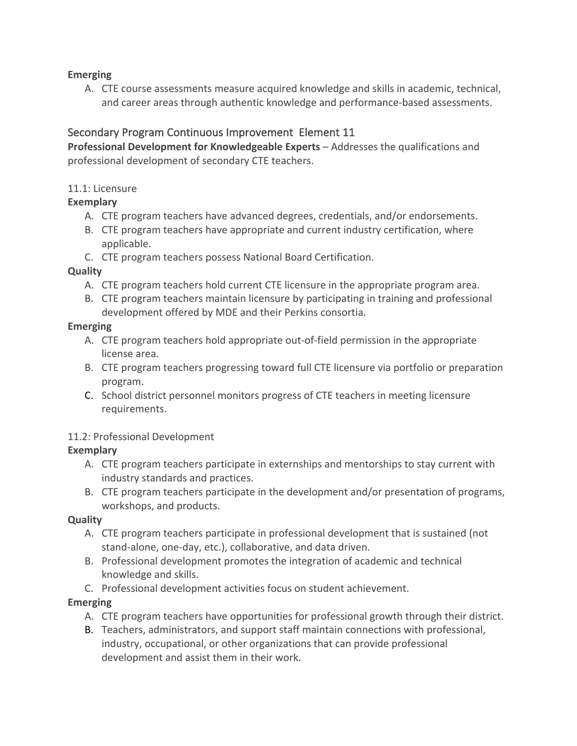#### **Emerging**

 A. CTE course assessments measure acquired knowledge and skills in academic, technical, and career areas through authentic knowledge and performance-based assessments.

# Secondary Program Continuous Improvement Element 11

Professional Development for Knowledgeable Experts - Addresses the qualifications and professional development of secondary CTE teachers.

#### 11.1: Licensure

#### **Exemplary**

- A. CTE program teachers have advanced degrees, credentials, and/or endorsements.
- B. CTE program teachers have appropriate and current industry certification, where applicable.
- C. CTE program teachers possess National Board Certification.

#### **Quality**

- A. CTE program teachers hold current CTE licensure in the appropriate program area.
- B. CTE program teachers maintain licensure by participating in training and professional development offered by MDE and their Perkins consortia.

#### **Emerging**

- A. CTE program teachers hold appropriate out-of-field permission in the appropriate license area.
- B. CTE program teachers progressing toward full CTE licensure via portfolio or preparation program.
- C. School district personnel monitors progress of CTE teachers in meeting licensure requirements.

#### 11.2: Professional Development

#### **Exemplary**

- A. CTE program teachers participate in externships and mentorships to stay current with industry standards and practices.
- B. CTE program teachers participate in the development and/or presentation of programs, workshops, and products.

#### **Quality**

- A. CTE program teachers participate in professional development that is sustained (not stand-alone, one-day, etc.), collaborative, and data driven.
- B. Professional development promotes the integration of academic and technical knowledge and skills.
- C. Professional development activities focus on student achievement.

#### **Emerging**

- A. CTE program teachers have opportunities for professional growth through their district.
- B. Teachers, administrators, and support staff maintain connections with professional, industry, occupational, or other organizations that can provide professional development and assist them in their work.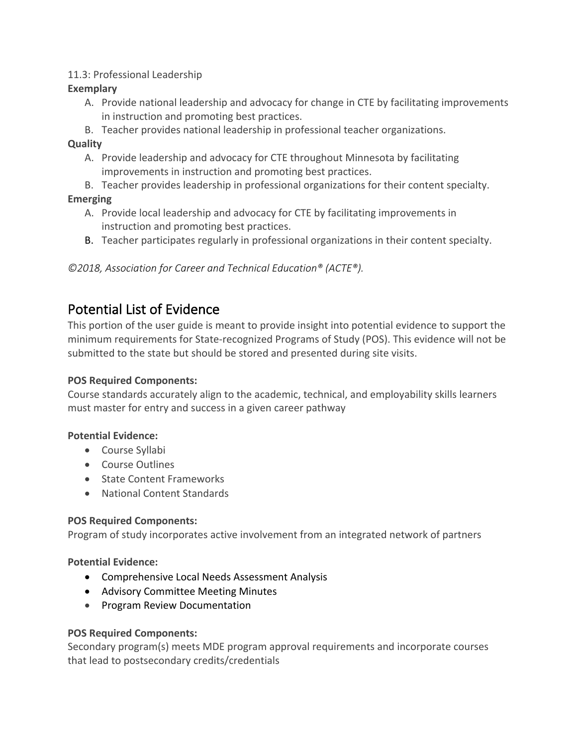#### 11.3: Professional Leadership

#### **Exemplary**

- A. Provide national leadership and advocacy for change in CTE by facilitating improvements in instruction and promoting best practices.
- B. Teacher provides national leadership in professional teacher organizations.

#### **Quality**

- A. Provide leadership and advocacy for CTE throughout Minnesota by facilitating improvements in instruction and promoting best practices.
- B. Teacher provides leadership in professional organizations for their content specialty.

# **Emerging**

- A. Provide local leadership and advocacy for CTE by facilitating improvements in instruction and promoting best practices.
- B. Teacher participates regularly in professional organizations in their content specialty.

*©2018, Association for Career and Technical Education® (ACTE®).* 

# Potential List of Evidence

 This portion of the user guide is meant to provide insight into potential evidence to support the minimum requirements for State-recognized Programs of Study (POS). This evidence will not be submitted to the state but should be stored and presented during site visits.

#### **POS Required Components:**

 Course standards accurately align to the academic, technical, and employability skills learners must master for entry and success in a given career pathway

#### **Potential Evidence:**

- Course Syllabi
- Course Outlines
- State Content Frameworks
- National Content Standards

#### **POS Required Components:**

Program of study incorporates active involvement from an integrated network of partners

**Potential Evidence:** 

- Comprehensive Local Needs Assessment Analysis
- Advisory Committee Meeting Minutes
- Program Review Documentation

#### **POS Required Components:**

 Secondary program(s) meets MDE program approval requirements and incorporate courses that lead to postsecondary credits/credentials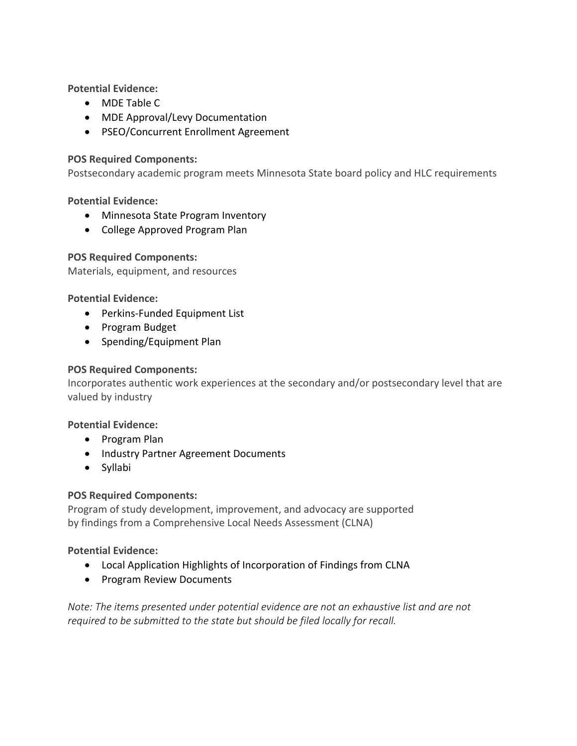**Potential Evidence:** 

- MDE Table C
- MDE Approval/Levy Documentation
- PSEO/Concurrent Enrollment Agreement

#### **POS Required Components:**

Postsecondary academic program meets Minnesota State board policy and HLC requirements

**Potential Evidence:** 

- Minnesota State Program Inventory
- College Approved Program Plan

#### **POS Required Components:**

Materials, equipment, and resources

**Potential Evidence:** 

- Perkins-Funded Equipment List
- Program Budget
- Spending/Equipment Plan

#### **POS Required Components:**

 Incorporates authentic work experiences at the secondary and/or postsecondary level that are valued by industry

#### **Potential Evidence:**

- Program Plan
- Industry Partner Agreement Documents
- Syllabi

#### **POS Required Components:**

 Program of study development, improvement, and advocacy are supported by findings from a Comprehensive Local Needs Assessment (CLNA)

#### **Potential Evidence:**

- Local Application Highlights of Incorporation of Findings from CLNA
- Program Review Documents

*Note: The items presented under potential evidence are not an exhaustive list and are not required to be submitted to the state but should be filed locally for recall.*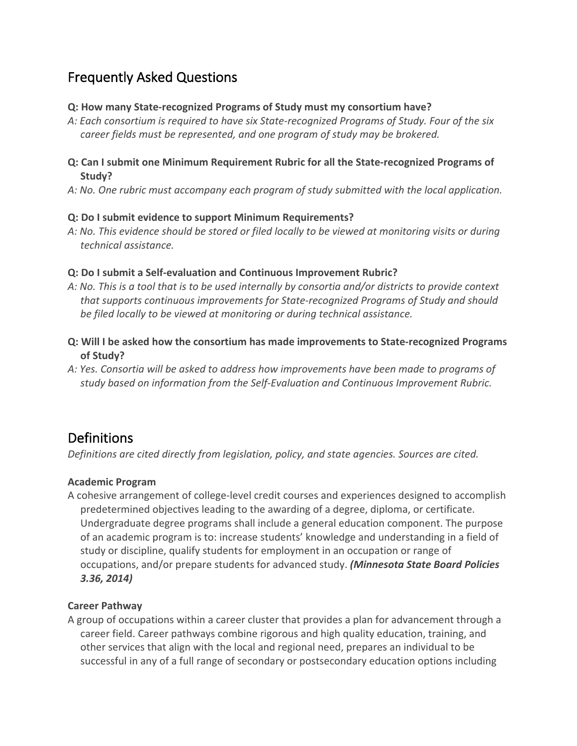# Frequently Asked Questions

#### **Q: How many State-recognized Programs of Study must my consortium have?**

 *A: Each consortium is required to have six State-recognized Programs of Study. Four of the six career fields must be represented, and one program of study may be brokered.* 

#### **Q: Can I submit one Minimum Requirement Rubric for all the State-recognized Programs of Study?**

 *A: No. One rubric must accompany each program of study submitted with the local application.* 

#### **Q: Do I submit evidence to support Minimum Requirements?**

 *A: No. This evidence should be stored or filed locally to be viewed at monitoring visits or during technical assistance.* 

#### **Q: Do I submit a Self-evaluation and Continuous Improvement Rubric?**

- *A: No. This is a tool that is to be used internally by consortia and/or districts to provide context that supports continuous improvements for State-recognized Programs of Study and should be filed locally to be viewed at monitoring or during technical assistance.*
- **Q: Will I be asked how the consortium has made improvements to State-recognized Programs of Study?**
- *A: Yes. Consortia will be asked to address how improvements have been made to programs of study based on information from the Self-Evaluation and Continuous Improvement Rubric.*

# **Definitions**

 *Definitions are cited directly from legislation, policy, and state agencies. Sources are cited.* 

#### **Academic Program**

 A cohesive arrangement of college-level credit courses and experiences designed to accomplish predetermined objectives leading to the awarding of a degree, diploma, or certificate. Undergraduate degree programs shall include a general education component. The purpose of an academic program is to: increase students' knowledge and understanding in a field of study or discipline, qualify students for employment in an occupation or range of occupations, and/or prepare students for advanced study. *(Minnesota State Board Policies 3.36, 2014)* 

#### **Career Pathway**

 A group of occupations within a career cluster that provides a plan for advancement through a career field. Career pathways combine rigorous and high quality education, training, and other services that align with the local and regional need, prepares an individual to be successful in any of a full range of secondary or postsecondary education options including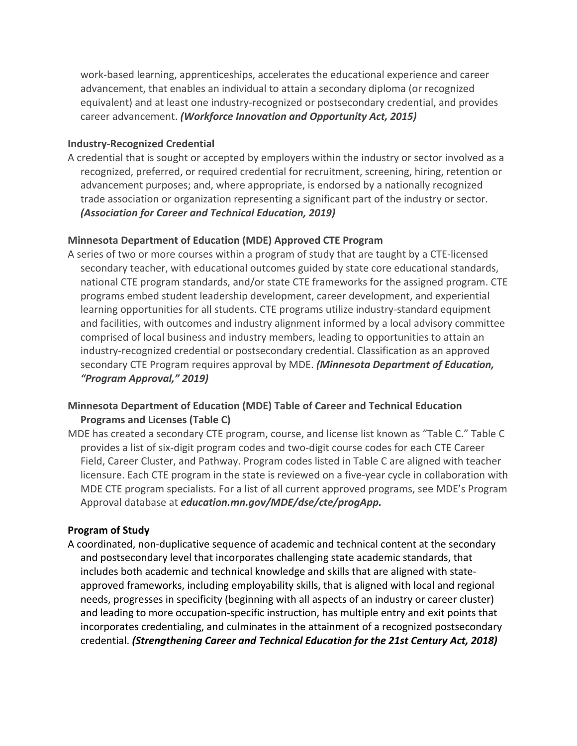work-based learning, apprenticeships, accelerates the educational experience and career advancement, that enables an individual to attain a secondary diploma (or recognized equivalent) and at least one industry-recognized or postsecondary credential, and provides  career advancement. *(Workforce Innovation and Opportunity Act, 2015)* 

#### **Industry-Recognized Credential**

 A credential that is sought or accepted by employers within the industry or sector involved as a recognized, preferred, or required credential for recruitment, screening, hiring, retention or advancement purposes; and, where appropriate, is endorsed by a nationally recognized trade association or organization representing a significant part of the industry or sector.  *(Association for Career and Technical Education, 2019)* 

#### **Minnesota Department of Education (MDE) Approved CTE Program**

 A series of two or more courses within a program of study that are taught by a CTE-licensed secondary teacher, with educational outcomes guided by state core educational standards, national CTE program standards, and/or state CTE frameworks for the assigned program. CTE programs embed student leadership development, career development, and experiential learning opportunities for all students. CTE programs utilize industry-standard equipment and facilities, with outcomes and industry alignment informed by a local advisory committee comprised of local business and industry members, leading to opportunities to attain an industry-recognized credential or postsecondary credential. Classification as an approved secondary CTE Program requires approval by MDE. *(Minnesota Department of Education, "Program Approval," 2019)* 

# **Minnesota Department of Education (MDE) Table of Career and Technical Education Programs and Licenses (Table C)**

 MDE has created a secondary CTE program, course, and license list known as "Table C." Table C provides a list of six-digit program codes and two-digit course codes for each CTE Career Field, Career Cluster, and Pathway. Program codes listed in Table C are aligned with teacher licensure. Each CTE program in the state is reviewed on a five-year cycle in collaboration with MDE CTE program specialists. For a list of all current approved programs, see MDE's Program Approval database at *[education.mn.gov/MDE/dse/cte/progApp.](https://education.mn.gov/MDE/dse/cte/progApp)* 

#### **Program of Study**

 A coordinated, non-duplicative sequence of academic and technical content at the secondary and postsecondary level that incorporates challenging state academic standards, that includes both academic and technical knowledge and skills that are aligned with state- approved frameworks, including employability skills, that is aligned with local and regional needs, progresses in specificity (beginning with all aspects of an industry or career cluster) and leading to more occupation-specific instruction, has multiple entry and exit points that incorporates credentialing, and culminates in the attainment of a recognized postsecondary  credential. *(Strengthening Career and Technical Education for the 21st Century Act, 2018)*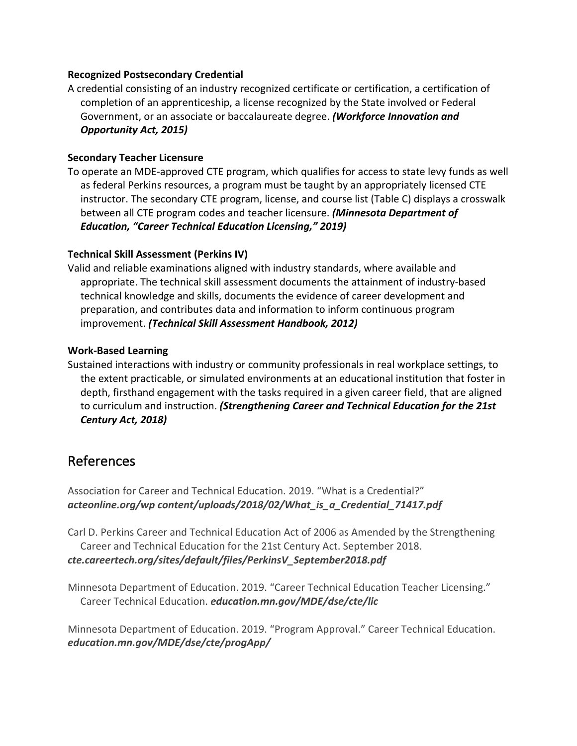#### **Recognized Postsecondary Credential**

 A credential consisting of an industry recognized certificate or certification, a certification of completion of an apprenticeship, a license recognized by the State involved or Federal Government, or an associate or baccalaureate degree. *(Workforce Innovation and Opportunity Act, 2015)* 

#### **Secondary Teacher Licensure**

 To operate an MDE-approved CTE program, which qualifies for access to state levy funds as well as federal Perkins resources, a program must be taught by an appropriately licensed CTE instructor. The secondary CTE program, license, and course list (Table C) displays a crosswalk between all CTE program codes and teacher licensure. *(Minnesota Department of Education, "Career Technical Education Licensing," 2019)* 

#### **Technical Skill Assessment (Perkins IV)**

 Valid and reliable examinations aligned with industry standards, where available and appropriate. The technical skill assessment documents the attainment of industry-based technical knowledge and skills, documents the evidence of career development and preparation, and contributes data and information to inform continuous program  improvement. *(Technical Skill Assessment Handbook, 2012)* 

#### **Work-Based Learning**

 Sustained interactions with industry or community professionals in real workplace settings, to the extent practicable, or simulated environments at an educational institution that foster in depth, firsthand engagement with the tasks required in a given career field, that are aligned to curriculum and instruction. *(Strengthening Career and Technical Education for the 21st Century Act, 2018)* 

# References

 Association for Career and Technical Education. 2019. "What is a Credential?" *[acteonline.org/wp](https://acteonline.org/wp) content/uploads/2018/02/What\_is\_a\_Credential\_71417.pdf* 

 Carl D. Perkins Career and Technical Education Act of 2006 as Amended by the Strengthening Career and Technical Education for the 21st Century Act. September 2018. *[cte.careertech.org/sites/default/files/PerkinsV\\_September2018.pdf](https://cte.careertech.org/sites/default/files/PerkinsV_September2018.pdf)* 

 Minnesota Department of Education. 2019. "Career Technical Education Teacher Licensing." Career Technical Education. *[education.mn.gov/MDE/dse/cte/lic](https://education.mn.gov/MDE/dse/cte/lic)* 

 Minnesota Department of Education. 2019. "Program Approval." Career Technical Education. *[education.mn.gov/MDE/dse/cte/progApp/](https://education.mn.gov/MDE/dse/cte/progApp)*